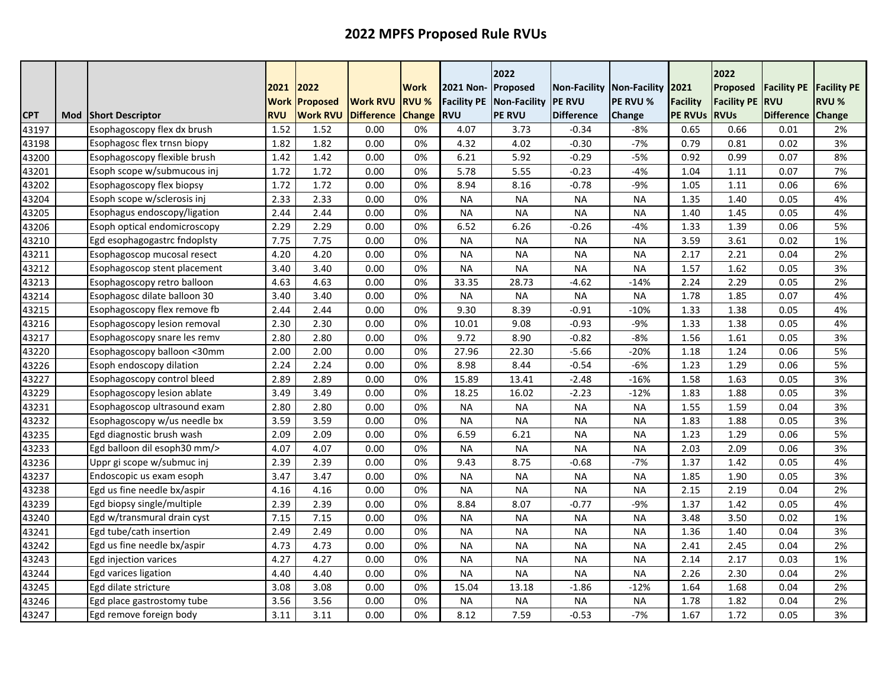|            |     |                              | 2021<br><b>Work</b> | 2022<br>Proposed | <b>Work RVU</b>   | <b>Work</b><br><b>RVU %</b> | 2021 Non-<br>Facility PE | 2022<br>Proposed<br>Non-Facility | <b>Non-Facility</b><br><b>PE RVU</b> | Non-Facility 2021<br>PE RVU % | <b>Facility</b> | 2022<br>Proposed<br><b>Facility PE</b> | <b>Facility PE</b><br><b>RVU</b> | <b>Facility PE</b><br><b>RVU %</b> |
|------------|-----|------------------------------|---------------------|------------------|-------------------|-----------------------------|--------------------------|----------------------------------|--------------------------------------|-------------------------------|-----------------|----------------------------------------|----------------------------------|------------------------------------|
| <b>CPT</b> | Mod | <b>Short Descriptor</b>      | <b>RVU</b>          | <b>Work RVU</b>  | <b>Difference</b> | <b>Change</b>               | <b>RVU</b>               | <b>PE RVU</b>                    | <b>Difference</b>                    | Change                        | <b>PE RVUS</b>  | <b>RVUs</b>                            | <b>Difference</b>                | Change                             |
| 43197      |     | Esophagoscopy flex dx brush  | 1.52                | 1.52             | 0.00              | 0%                          | 4.07                     | 3.73                             | $-0.34$                              | $-8%$                         | 0.65            | 0.66                                   | 0.01                             | 2%                                 |
| 43198      |     | Esophagosc flex trnsn biopy  | 1.82                | 1.82             | 0.00              | 0%                          | 4.32                     | 4.02                             | $-0.30$                              | $-7%$                         | 0.79            | 0.81                                   | 0.02                             | 3%                                 |
| 43200      |     | Esophagoscopy flexible brush | 1.42                | 1.42             | 0.00              | 0%                          | 6.21                     | 5.92                             | $-0.29$                              | $-5%$                         | 0.92            | 0.99                                   | 0.07                             | 8%                                 |
| 43201      |     | Esoph scope w/submucous inj  | 1.72                | 1.72             | 0.00              | 0%                          | 5.78                     | 5.55                             | $-0.23$                              | $-4%$                         | 1.04            | 1.11                                   | 0.07                             | 7%                                 |
| 43202      |     | Esophagoscopy flex biopsy    | 1.72                | 1.72             | 0.00              | 0%                          | 8.94                     | 8.16                             | $-0.78$                              | $-9%$                         | 1.05            | 1.11                                   | 0.06                             | 6%                                 |
| 43204      |     | Esoph scope w/sclerosis inj  | 2.33                | 2.33             | 0.00              | 0%                          | <b>NA</b>                | <b>NA</b>                        | <b>NA</b>                            | <b>NA</b>                     | 1.35            | 1.40                                   | 0.05                             | 4%                                 |
| 43205      |     | Esophagus endoscopy/ligation | 2.44                | 2.44             | 0.00              | 0%                          | <b>NA</b>                | <b>NA</b>                        | <b>NA</b>                            | <b>NA</b>                     | 1.40            | 1.45                                   | 0.05                             | 4%                                 |
| 43206      |     | Esoph optical endomicroscopy | 2.29                | 2.29             | 0.00              | 0%                          | 6.52                     | 6.26                             | $-0.26$                              | $-4%$                         | 1.33            | 1.39                                   | 0.06                             | 5%                                 |
| 43210      |     | Egd esophagogastrc fndoplsty | 7.75                | 7.75             | 0.00              | 0%                          | <b>NA</b>                | <b>NA</b>                        | <b>NA</b>                            | <b>NA</b>                     | 3.59            | 3.61                                   | 0.02                             | 1%                                 |
| 43211      |     | Esophagoscop mucosal resect  | 4.20                | 4.20             | 0.00              | 0%                          | <b>NA</b>                | <b>NA</b>                        | <b>NA</b>                            | <b>NA</b>                     | 2.17            | 2.21                                   | 0.04                             | 2%                                 |
| 43212      |     | Esophagoscop stent placement | 3.40                | 3.40             | 0.00              | 0%                          | <b>NA</b>                | <b>NA</b>                        | <b>NA</b>                            | <b>NA</b>                     | 1.57            | 1.62                                   | 0.05                             | 3%                                 |
| 43213      |     | Esophagoscopy retro balloon  | 4.63                | 4.63             | 0.00              | 0%                          | 33.35                    | 28.73                            | $-4.62$                              | $-14%$                        | 2.24            | 2.29                                   | 0.05                             | 2%                                 |
| 43214      |     | Esophagosc dilate balloon 30 | 3.40                | 3.40             | 0.00              | 0%                          | <b>NA</b>                | <b>NA</b>                        | <b>NA</b>                            | <b>NA</b>                     | 1.78            | 1.85                                   | 0.07                             | 4%                                 |
| 43215      |     | Esophagoscopy flex remove fb | 2.44                | 2.44             | 0.00              | 0%                          | 9.30                     | 8.39                             | $-0.91$                              | $-10%$                        | 1.33            | 1.38                                   | 0.05                             | 4%                                 |
| 43216      |     | Esophagoscopy lesion removal | 2.30                | 2.30             | 0.00              | 0%                          | 10.01                    | 9.08                             | $-0.93$                              | $-9%$                         | 1.33            | 1.38                                   | 0.05                             | 4%                                 |
| 43217      |     | Esophagoscopy snare les remv | 2.80                | 2.80             | 0.00              | 0%                          | 9.72                     | 8.90                             | $-0.82$                              | $-8%$                         | 1.56            | 1.61                                   | 0.05                             | 3%                                 |
| 43220      |     | Esophagoscopy balloon <30mm  | 2.00                | 2.00             | 0.00              | 0%                          | 27.96                    | 22.30                            | $-5.66$                              | $-20%$                        | 1.18            | 1.24                                   | 0.06                             | 5%                                 |
| 43226      |     | Esoph endoscopy dilation     | 2.24                | 2.24             | 0.00              | 0%                          | 8.98                     | 8.44                             | $-0.54$                              | $-6%$                         | 1.23            | 1.29                                   | 0.06                             | 5%                                 |
| 43227      |     | Esophagoscopy control bleed  | 2.89                | 2.89             | 0.00              | 0%                          | 15.89                    | 13.41                            | $-2.48$                              | $-16%$                        | 1.58            | 1.63                                   | 0.05                             | 3%                                 |
| 43229      |     | Esophagoscopy lesion ablate  | 3.49                | 3.49             | 0.00              | 0%                          | 18.25                    | 16.02                            | $-2.23$                              | $-12%$                        | 1.83            | 1.88                                   | 0.05                             | 3%                                 |
| 43231      |     | Esophagoscop ultrasound exam | 2.80                | 2.80             | 0.00              | 0%                          | <b>NA</b>                | <b>NA</b>                        | <b>NA</b>                            | <b>NA</b>                     | 1.55            | 1.59                                   | 0.04                             | 3%                                 |
| 43232      |     | Esophagoscopy w/us needle bx | 3.59                | 3.59             | 0.00              | 0%                          | <b>NA</b>                | <b>NA</b>                        | <b>NA</b>                            | <b>NA</b>                     | 1.83            | 1.88                                   | 0.05                             | 3%                                 |
| 43235      |     | Egd diagnostic brush wash    | 2.09                | 2.09             | 0.00              | 0%                          | 6.59                     | 6.21                             | <b>NA</b>                            | <b>NA</b>                     | 1.23            | 1.29                                   | 0.06                             | 5%                                 |
| 43233      |     | Egd balloon dil esoph30 mm/> | 4.07                | 4.07             | 0.00              | 0%                          | <b>NA</b>                | <b>NA</b>                        | <b>NA</b>                            | <b>NA</b>                     | 2.03            | 2.09                                   | 0.06                             | 3%                                 |
| 43236      |     | Uppr gi scope w/submuc inj   | 2.39                | 2.39             | 0.00              | 0%                          | 9.43                     | 8.75                             | $-0.68$                              | $-7%$                         | 1.37            | 1.42                                   | 0.05                             | 4%                                 |
| 43237      |     | Endoscopic us exam esoph     | 3.47                | 3.47             | 0.00              | 0%                          | <b>NA</b>                | <b>NA</b>                        | <b>NA</b>                            | <b>NA</b>                     | 1.85            | 1.90                                   | 0.05                             | 3%                                 |
| 43238      |     | Egd us fine needle bx/aspir  | 4.16                | 4.16             | 0.00              | 0%                          | <b>NA</b>                | <b>NA</b>                        | <b>NA</b>                            | <b>NA</b>                     | 2.15            | 2.19                                   | 0.04                             | 2%                                 |
| 43239      |     | Egd biopsy single/multiple   | 2.39                | 2.39             | 0.00              | 0%                          | 8.84                     | 8.07                             | $-0.77$                              | $-9%$                         | 1.37            | 1.42                                   | 0.05                             | 4%                                 |
| 43240      |     | Egd w/transmural drain cyst  | 7.15                | 7.15             | 0.00              | 0%                          | <b>NA</b>                | <b>NA</b>                        | <b>NA</b>                            | <b>NA</b>                     | 3.48            | 3.50                                   | 0.02                             | 1%                                 |
| 43241      |     | Egd tube/cath insertion      | 2.49                | 2.49             | 0.00              | 0%                          | <b>NA</b>                | <b>NA</b>                        | <b>NA</b>                            | <b>NA</b>                     | 1.36            | 1.40                                   | 0.04                             | 3%                                 |
| 43242      |     | Egd us fine needle bx/aspir  | 4.73                | 4.73             | 0.00              | 0%                          | <b>NA</b>                | <b>NA</b>                        | <b>NA</b>                            | <b>NA</b>                     | 2.41            | 2.45                                   | 0.04                             | 2%                                 |
| 43243      |     | Egd injection varices        | 4.27                | 4.27             | 0.00              | 0%                          | <b>NA</b>                | <b>NA</b>                        | <b>NA</b>                            | <b>NA</b>                     | 2.14            | 2.17                                   | 0.03                             | 1%                                 |
| 43244      |     | Egd varices ligation         | 4.40                | 4.40             | 0.00              | 0%                          | <b>NA</b>                | <b>NA</b>                        | <b>NA</b>                            | <b>NA</b>                     | 2.26            | 2.30                                   | 0.04                             | 2%                                 |
| 43245      |     | Egd dilate stricture         | 3.08                | 3.08             | 0.00              | 0%                          | 15.04                    | 13.18                            | $-1.86$                              | $-12%$                        | 1.64            | 1.68                                   | 0.04                             | 2%                                 |
| 43246      |     | Egd place gastrostomy tube   | 3.56                | 3.56             | 0.00              | 0%                          | <b>NA</b>                | <b>NA</b>                        | <b>NA</b>                            | <b>NA</b>                     | 1.78            | 1.82                                   | 0.04                             | 2%                                 |
| 43247      |     | Egd remove foreign body      | 3.11                | 3.11             | 0.00              | 0%                          | 8.12                     | 7.59                             | $-0.53$                              | $-7%$                         | 1.67            | 1.72                                   | 0.05                             | 3%                                 |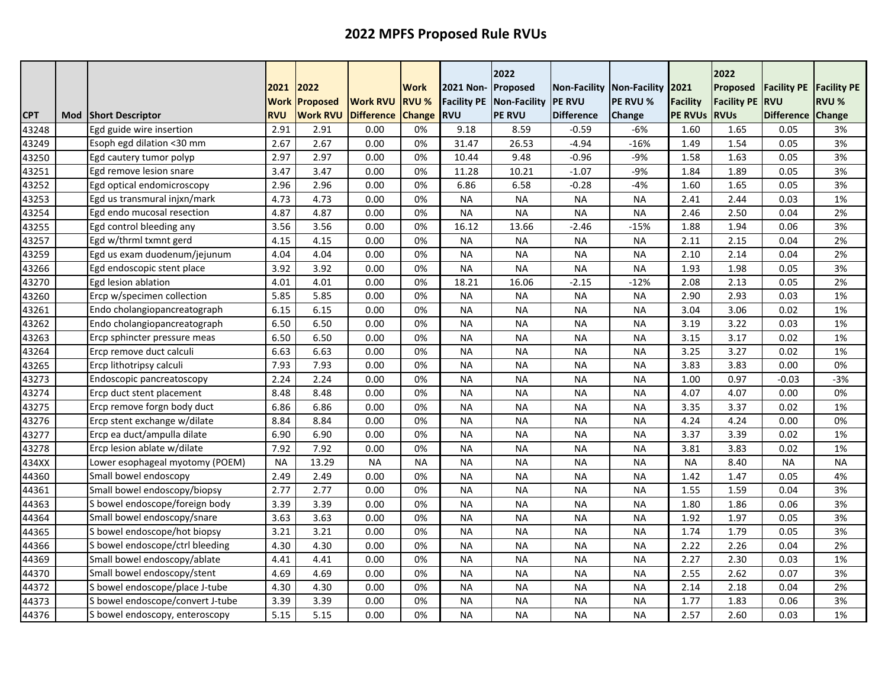|            |     |                                  | 2021        | 2022            |                   | <b>Work</b>   | 2021 Non-          | 2022<br>Proposed    | <b>Non-Facility</b> | Non-Facility 2021 |                 | 2022<br>Proposed   | <b>Facility PE</b> | <b>Facility PE</b> |
|------------|-----|----------------------------------|-------------|-----------------|-------------------|---------------|--------------------|---------------------|---------------------|-------------------|-----------------|--------------------|--------------------|--------------------|
|            |     |                                  | <b>Work</b> | <b>Proposed</b> | <b>Work RVU</b>   | <b>RVU %</b>  | <b>Facility PE</b> | <b>Non-Facility</b> | <b>PE RVU</b>       | PE RVU %          | <b>Facility</b> | <b>Facility PE</b> | <b>RVU</b>         | RVU %              |
| <b>CPT</b> | Mod | <b>Short Descriptor</b>          | <b>RVU</b>  | <b>Work RVU</b> | <b>Difference</b> | <b>Change</b> | <b>RVU</b>         | <b>PE RVU</b>       | <b>Difference</b>   | Change            | <b>PE RVUS</b>  | <b>RVUs</b>        | <b>Difference</b>  | Change             |
| 43248      |     | Egd guide wire insertion         | 2.91        | 2.91            | 0.00              | 0%            | 9.18               | 8.59                | -0.59               | $-6%$             | 1.60            | 1.65               | 0.05               | 3%                 |
| 43249      |     | Esoph egd dilation <30 mm        | 2.67        | 2.67            | 0.00              | 0%            | 31.47              | 26.53               | $-4.94$             | $-16%$            | 1.49            | 1.54               | 0.05               | 3%                 |
| 43250      |     | Egd cautery tumor polyp          | 2.97        | 2.97            | 0.00              | 0%            | 10.44              | 9.48                | $-0.96$             | $-9%$             | 1.58            | 1.63               | 0.05               | 3%                 |
| 43251      |     | Egd remove lesion snare          | 3.47        | 3.47            | 0.00              | 0%            | 11.28              | 10.21               | $-1.07$             | $-9%$             | 1.84            | 1.89               | 0.05               | 3%                 |
| 43252      |     | Egd optical endomicroscopy       | 2.96        | 2.96            | 0.00              | 0%            | 6.86               | 6.58                | $-0.28$             | $-4%$             | 1.60            | 1.65               | 0.05               | 3%                 |
| 43253      |     | Egd us transmural injxn/mark     | 4.73        | 4.73            | 0.00              | 0%            | <b>NA</b>          | <b>NA</b>           | <b>NA</b>           | <b>NA</b>         | 2.41            | 2.44               | 0.03               | 1%                 |
| 43254      |     | Egd endo mucosal resection       | 4.87        | 4.87            | 0.00              | 0%            | <b>NA</b>          | <b>NA</b>           | <b>NA</b>           | <b>NA</b>         | 2.46            | 2.50               | 0.04               | 2%                 |
| 43255      |     | Egd control bleeding any         | 3.56        | 3.56            | 0.00              | 0%            | 16.12              | 13.66               | $-2.46$             | $-15%$            | 1.88            | 1.94               | 0.06               | 3%                 |
| 43257      |     | Egd w/thrml txmnt gerd           | 4.15        | 4.15            | 0.00              | 0%            | <b>NA</b>          | <b>NA</b>           | <b>NA</b>           | <b>NA</b>         | 2.11            | 2.15               | 0.04               | 2%                 |
| 43259      |     | Egd us exam duodenum/jejunum     | 4.04        | 4.04            | 0.00              | 0%            | <b>NA</b>          | <b>NA</b>           | <b>NA</b>           | <b>NA</b>         | 2.10            | 2.14               | 0.04               | 2%                 |
| 43266      |     | Egd endoscopic stent place       | 3.92        | 3.92            | 0.00              | 0%            | <b>NA</b>          | <b>NA</b>           | <b>NA</b>           | <b>NA</b>         | 1.93            | 1.98               | 0.05               | 3%                 |
| 43270      |     | Egd lesion ablation              | 4.01        | 4.01            | 0.00              | 0%            | 18.21              | 16.06               | $-2.15$             | $-12%$            | 2.08            | 2.13               | 0.05               | 2%                 |
| 43260      |     | Ercp w/specimen collection       | 5.85        | 5.85            | 0.00              | 0%            | <b>NA</b>          | <b>NA</b>           | <b>NA</b>           | <b>NA</b>         | 2.90            | 2.93               | 0.03               | 1%                 |
| 43261      |     | Endo cholangiopancreatograph     | 6.15        | 6.15            | 0.00              | 0%            | <b>NA</b>          | <b>NA</b>           | <b>NA</b>           | <b>NA</b>         | 3.04            | 3.06               | 0.02               | 1%                 |
| 43262      |     | Endo cholangiopancreatograph     | 6.50        | 6.50            | 0.00              | 0%            | <b>NA</b>          | <b>NA</b>           | <b>NA</b>           | <b>NA</b>         | 3.19            | 3.22               | 0.03               | 1%                 |
| 43263      |     | Ercp sphincter pressure meas     | 6.50        | 6.50            | 0.00              | 0%            | <b>NA</b>          | <b>NA</b>           | <b>NA</b>           | <b>NA</b>         | 3.15            | 3.17               | 0.02               | 1%                 |
| 43264      |     | Ercp remove duct calculi         | 6.63        | 6.63            | 0.00              | 0%            | <b>NA</b>          | <b>NA</b>           | <b>NA</b>           | <b>NA</b>         | 3.25            | 3.27               | 0.02               | 1%                 |
| 43265      |     | Ercp lithotripsy calculi         | 7.93        | 7.93            | 0.00              | 0%            | <b>NA</b>          | <b>NA</b>           | <b>NA</b>           | <b>NA</b>         | 3.83            | 3.83               | 0.00               | 0%                 |
| 43273      |     | Endoscopic pancreatoscopy        | 2.24        | 2.24            | 0.00              | 0%            | <b>NA</b>          | <b>NA</b>           | <b>NA</b>           | <b>NA</b>         | 1.00            | 0.97               | $-0.03$            | $-3%$              |
| 43274      |     | Ercp duct stent placement        | 8.48        | 8.48            | 0.00              | 0%            | <b>NA</b>          | <b>NA</b>           | <b>NA</b>           | <b>NA</b>         | 4.07            | 4.07               | 0.00               | 0%                 |
| 43275      |     | Ercp remove forgn body duct      | 6.86        | 6.86            | 0.00              | 0%            | <b>NA</b>          | <b>NA</b>           | <b>NA</b>           | <b>NA</b>         | 3.35            | 3.37               | 0.02               | 1%                 |
| 43276      |     | Ercp stent exchange w/dilate     | 8.84        | 8.84            | 0.00              | 0%            | <b>NA</b>          | <b>NA</b>           | <b>NA</b>           | <b>NA</b>         | 4.24            | 4.24               | 0.00               | 0%                 |
| 43277      |     | Ercp ea duct/ampulla dilate      | 6.90        | 6.90            | 0.00              | 0%            | <b>NA</b>          | <b>NA</b>           | <b>NA</b>           | <b>NA</b>         | 3.37            | 3.39               | 0.02               | 1%                 |
| 43278      |     | Ercp lesion ablate w/dilate      | 7.92        | 7.92            | 0.00              | 0%            | <b>NA</b>          | <b>NA</b>           | <b>NA</b>           | <b>NA</b>         | 3.81            | 3.83               | 0.02               | 1%                 |
| 434XX      |     | Lower esophageal myotomy (POEM)  | <b>NA</b>   | 13.29           | <b>NA</b>         | <b>NA</b>     | <b>NA</b>          | <b>NA</b>           | <b>NA</b>           | <b>NA</b>         | <b>NA</b>       | 8.40               | <b>NA</b>          | <b>NA</b>          |
| 44360      |     | Small bowel endoscopy            | 2.49        | 2.49            | 0.00              | 0%            | <b>NA</b>          | <b>NA</b>           | <b>NA</b>           | <b>NA</b>         | 1.42            | 1.47               | 0.05               | 4%                 |
| 44361      |     | Small bowel endoscopy/biopsy     | 2.77        | 2.77            | 0.00              | 0%            | <b>NA</b>          | <b>NA</b>           | <b>NA</b>           | <b>NA</b>         | 1.55            | 1.59               | 0.04               | 3%                 |
| 44363      |     | S bowel endoscope/foreign body   | 3.39        | 3.39            | 0.00              | 0%            | <b>NA</b>          | <b>NA</b>           | <b>NA</b>           | <b>NA</b>         | 1.80            | 1.86               | 0.06               | 3%                 |
| 44364      |     | Small bowel endoscopy/snare      | 3.63        | 3.63            | 0.00              | 0%            | <b>NA</b>          | <b>NA</b>           | <b>NA</b>           | <b>NA</b>         | 1.92            | 1.97               | 0.05               | 3%                 |
| 44365      |     | S bowel endoscope/hot biopsy     | 3.21        | 3.21            | 0.00              | 0%            | <b>NA</b>          | <b>NA</b>           | <b>NA</b>           | <b>NA</b>         | 1.74            | 1.79               | 0.05               | 3%                 |
| 44366      |     | S bowel endoscope/ctrl bleeding  | 4.30        | 4.30            | 0.00              | 0%            | <b>NA</b>          | <b>NA</b>           | <b>NA</b>           | <b>NA</b>         | 2.22            | 2.26               | 0.04               | 2%                 |
| 44369      |     | Small bowel endoscopy/ablate     | 4.41        | 4.41            | 0.00              | 0%            | <b>NA</b>          | <b>NA</b>           | <b>NA</b>           | <b>NA</b>         | 2.27            | 2.30               | 0.03               | 1%                 |
| 44370      |     | Small bowel endoscopy/stent      | 4.69        | 4.69            | 0.00              | 0%            | <b>NA</b>          | <b>NA</b>           | <b>NA</b>           | <b>NA</b>         | 2.55            | 2.62               | 0.07               | 3%                 |
| 44372      |     | S bowel endoscope/place J-tube   | 4.30        | 4.30            | 0.00              | 0%            | <b>NA</b>          | <b>NA</b>           | <b>NA</b>           | <b>NA</b>         | 2.14            | 2.18               | 0.04               | 2%                 |
| 44373      |     | S bowel endoscope/convert J-tube | 3.39        | 3.39            | 0.00              | 0%            | <b>NA</b>          | <b>NA</b>           | <b>NA</b>           | <b>NA</b>         | 1.77            | 1.83               | 0.06               | 3%                 |
| 44376      |     | S bowel endoscopy, enteroscopy   | 5.15        | 5.15            | 0.00              | 0%            | <b>NA</b>          | <b>NA</b>           | <b>NA</b>           | <b>NA</b>         | 2.57            | 2.60               | 0.03               | 1%                 |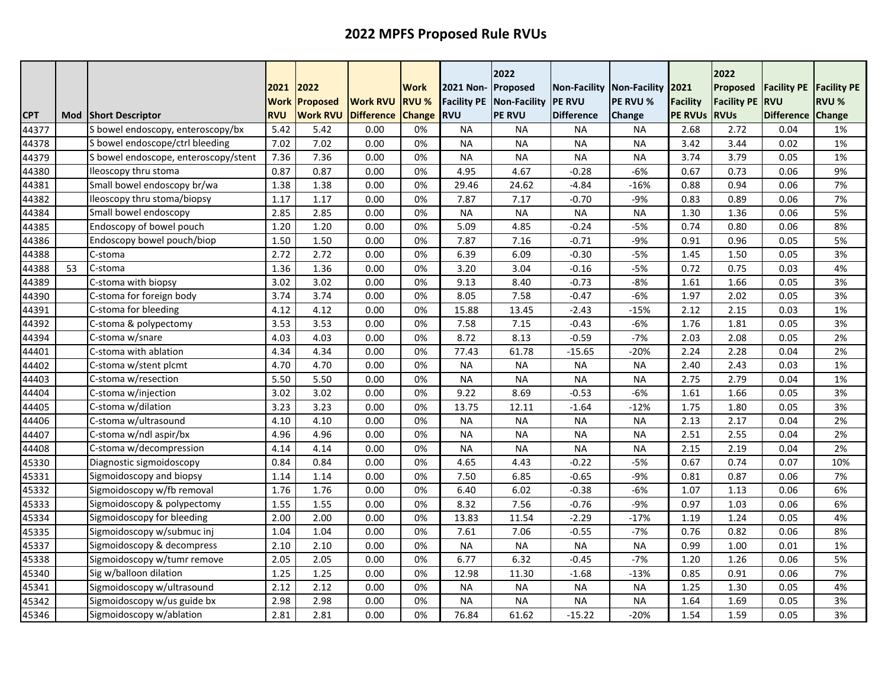|            |     |                                      | 2021<br><b>Work</b> | 2022<br>Proposed | <b>Work RVU</b>   | Work<br><b>RVU %</b> | 2021 Non- Proposed<br><b>Facility PE</b> | 2022<br>Non-Facility | Non-Facility<br><b>IPE RVU</b> | <b>Non-Facility</b><br>PE RVU % | 2021<br><b>Facility</b> | 2022<br>Proposed<br><b>Facility PE</b> | <b>Facility PE</b><br><b>RVU</b> | <b>Facility PE</b><br><b>RVU %</b> |
|------------|-----|--------------------------------------|---------------------|------------------|-------------------|----------------------|------------------------------------------|----------------------|--------------------------------|---------------------------------|-------------------------|----------------------------------------|----------------------------------|------------------------------------|
| <b>CPT</b> | Mod | <b>Short Descriptor</b>              | <b>RVU</b>          | <b>Work RVU</b>  | <b>Difference</b> | <b>Change</b>        | <b>RVU</b>                               | <b>PE RVU</b>        | <b>Difference</b>              | Change                          | <b>PE RVUS</b>          | <b>RVUs</b>                            | <b>Difference</b>                | Change                             |
| 44377      |     | S bowel endoscopy, enteroscopy/bx    | 5.42                | 5.42             | 0.00              | 0%                   | <b>NA</b>                                | <b>NA</b>            | NA                             | <b>NA</b>                       | 2.68                    | 2.72                                   | 0.04                             | 1%                                 |
| 44378      |     | S bowel endoscope/ctrl bleeding      | 7.02                | 7.02             | 0.00              | 0%                   | <b>NA</b>                                | <b>NA</b>            | <b>NA</b>                      | <b>NA</b>                       | 3.42                    | 3.44                                   | 0.02                             | 1%                                 |
| 44379      |     | S bowel endoscope, enteroscopy/stent | 7.36                | 7.36             | 0.00              | 0%                   | <b>NA</b>                                | <b>NA</b>            | <b>NA</b>                      | <b>NA</b>                       | 3.74                    | 3.79                                   | 0.05                             | 1%                                 |
| 44380      |     | Ileoscopy thru stoma                 | 0.87                | 0.87             | 0.00              | 0%                   | 4.95                                     | 4.67                 | $-0.28$                        | $-6%$                           | 0.67                    | 0.73                                   | 0.06                             | 9%                                 |
| 44381      |     | Small bowel endoscopy br/wa          | 1.38                | 1.38             | 0.00              | 0%                   | 29.46                                    | 24.62                | $-4.84$                        | $-16%$                          | 0.88                    | 0.94                                   | 0.06                             | 7%                                 |
| 44382      |     | Ileoscopy thru stoma/biopsy          | 1.17                | 1.17             | 0.00              | 0%                   | 7.87                                     | 7.17                 | $-0.70$                        | $-9%$                           | 0.83                    | 0.89                                   | 0.06                             | 7%                                 |
| 44384      |     | Small bowel endoscopy                | 2.85                | 2.85             | 0.00              | 0%                   | <b>NA</b>                                | <b>NA</b>            | <b>NA</b>                      | <b>NA</b>                       | 1.30                    | 1.36                                   | 0.06                             | 5%                                 |
| 44385      |     | Endoscopy of bowel pouch             | 1.20                | 1.20             | 0.00              | 0%                   | 5.09                                     | 4.85                 | $-0.24$                        | $-5%$                           | 0.74                    | 0.80                                   | 0.06                             | 8%                                 |
| 44386      |     | Endoscopy bowel pouch/biop           | 1.50                | 1.50             | 0.00              | 0%                   | 7.87                                     | 7.16                 | $-0.71$                        | $-9%$                           | 0.91                    | 0.96                                   | 0.05                             | 5%                                 |
| 44388      |     | C-stoma                              | 2.72                | 2.72             | 0.00              | 0%                   | 6.39                                     | 6.09                 | $-0.30$                        | $-5%$                           | 1.45                    | 1.50                                   | 0.05                             | 3%                                 |
| 44388      | 53  | C-stoma                              | 1.36                | 1.36             | 0.00              | 0%                   | 3.20                                     | 3.04                 | $-0.16$                        | $-5%$                           | 0.72                    | 0.75                                   | 0.03                             | 4%                                 |
| 44389      |     | C-stoma with biopsy                  | 3.02                | 3.02             | 0.00              | 0%                   | 9.13                                     | 8.40                 | $-0.73$                        | $-8%$                           | 1.61                    | 1.66                                   | 0.05                             | 3%                                 |
| 44390      |     | C-stoma for foreign body             | 3.74                | 3.74             | 0.00              | 0%                   | 8.05                                     | 7.58                 | $-0.47$                        | $-6%$                           | 1.97                    | 2.02                                   | 0.05                             | 3%                                 |
| 44391      |     | C-stoma for bleeding                 | 4.12                | 4.12             | 0.00              | 0%                   | 15.88                                    | 13.45                | $-2.43$                        | $-15%$                          | 2.12                    | 2.15                                   | 0.03                             | 1%                                 |
| 44392      |     | C-stoma & polypectomy                | 3.53                | 3.53             | 0.00              | 0%                   | 7.58                                     | 7.15                 | $-0.43$                        | $-6%$                           | 1.76                    | 1.81                                   | 0.05                             | 3%                                 |
| 44394      |     | C-stoma w/snare                      | 4.03                | 4.03             | 0.00              | 0%                   | 8.72                                     | 8.13                 | $-0.59$                        | $-7%$                           | 2.03                    | 2.08                                   | 0.05                             | 2%                                 |
| 44401      |     | C-stoma with ablation                | 4.34                | 4.34             | 0.00              | 0%                   | 77.43                                    | 61.78                | $-15.65$                       | $-20%$                          | 2.24                    | 2.28                                   | 0.04                             | 2%                                 |
| 44402      |     | C-stoma w/stent plcmt                | 4.70                | 4.70             | 0.00              | 0%                   | <b>NA</b>                                | <b>NA</b>            | <b>NA</b>                      | <b>NA</b>                       | 2.40                    | 2.43                                   | 0.03                             | 1%                                 |
| 44403      |     | C-stoma w/resection                  | 5.50                | 5.50             | 0.00              | 0%                   | <b>NA</b>                                | <b>NA</b>            | <b>NA</b>                      | <b>NA</b>                       | 2.75                    | 2.79                                   | 0.04                             | 1%                                 |
| 44404      |     | C-stoma w/injection                  | 3.02                | 3.02             | 0.00              | 0%                   | 9.22                                     | 8.69                 | $-0.53$                        | $-6%$                           | 1.61                    | 1.66                                   | 0.05                             | 3%                                 |
| 44405      |     | C-stoma w/dilation                   | 3.23                | 3.23             | 0.00              | 0%                   | 13.75                                    | 12.11                | $-1.64$                        | $-12%$                          | 1.75                    | 1.80                                   | 0.05                             | 3%                                 |
| 44406      |     | C-stoma w/ultrasound                 | 4.10                | 4.10             | 0.00              | 0%                   | <b>NA</b>                                | <b>NA</b>            | <b>NA</b>                      | <b>NA</b>                       | 2.13                    | 2.17                                   | 0.04                             | 2%                                 |
| 44407      |     | C-stoma w/ndl aspir/bx               | 4.96                | 4.96             | 0.00              | 0%                   | <b>NA</b>                                | <b>NA</b>            | <b>NA</b>                      | <b>NA</b>                       | 2.51                    | 2.55                                   | 0.04                             | 2%                                 |
| 44408      |     | C-stoma w/decompression              | 4.14                | 4.14             | 0.00              | 0%                   | <b>NA</b>                                | <b>NA</b>            | <b>NA</b>                      | <b>NA</b>                       | 2.15                    | 2.19                                   | 0.04                             | 2%                                 |
| 45330      |     | Diagnostic sigmoidoscopy             | 0.84                | 0.84             | 0.00              | 0%                   | 4.65                                     | 4.43                 | $-0.22$                        | $-5%$                           | 0.67                    | 0.74                                   | 0.07                             | 10%                                |
| 45331      |     | Sigmoidoscopy and biopsy             | 1.14                | 1.14             | 0.00              | 0%                   | 7.50                                     | 6.85                 | $-0.65$                        | -9%                             | 0.81                    | 0.87                                   | 0.06                             | 7%                                 |
| 45332      |     | Sigmoidoscopy w/fb removal           | 1.76                | 1.76             | 0.00              | 0%                   | 6.40                                     | 6.02                 | $-0.38$                        | $-6%$                           | 1.07                    | 1.13                                   | 0.06                             | 6%                                 |
| 45333      |     | Sigmoidoscopy & polypectomy          | 1.55                | 1.55             | 0.00              | 0%                   | 8.32                                     | 7.56                 | $-0.76$                        | $-9%$                           | 0.97                    | 1.03                                   | 0.06                             | 6%                                 |
| 45334      |     | Sigmoidoscopy for bleeding           | 2.00                | 2.00             | 0.00              | 0%                   | 13.83                                    | 11.54                | $-2.29$                        | $-17%$                          | 1.19                    | 1.24                                   | 0.05                             | 4%                                 |
| 45335      |     | Sigmoidoscopy w/submuc inj           | 1.04                | 1.04             | 0.00              | 0%                   | 7.61                                     | 7.06                 | $-0.55$                        | $-7%$                           | 0.76                    | 0.82                                   | 0.06                             | 8%                                 |
| 45337      |     | Sigmoidoscopy & decompress           | 2.10                | 2.10             | 0.00              | 0%                   | <b>NA</b>                                | <b>NA</b>            | <b>NA</b>                      | <b>NA</b>                       | 0.99                    | 1.00                                   | 0.01                             | 1%                                 |
| 45338      |     | Sigmoidoscopy w/tumr remove          | 2.05                | 2.05             | 0.00              | 0%                   | 6.77                                     | 6.32                 | $-0.45$                        | $-7%$                           | 1.20                    | 1.26                                   | 0.06                             | 5%                                 |
| 45340      |     | Sig w/balloon dilation               | 1.25                | 1.25             | 0.00              | 0%                   | 12.98                                    | 11.30                | $-1.68$                        | $-13%$                          | 0.85                    | 0.91                                   | 0.06                             | 7%                                 |
| 45341      |     | Sigmoidoscopy w/ultrasound           | 2.12                | 2.12             | 0.00              | 0%                   | <b>NA</b>                                | <b>NA</b>            | <b>NA</b>                      | <b>NA</b>                       | 1.25                    | 1.30                                   | 0.05                             | 4%                                 |
| 45342      |     | Sigmoidoscopy w/us guide bx          | 2.98                | 2.98             | 0.00              | 0%                   | <b>NA</b>                                | <b>NA</b>            | <b>NA</b>                      | <b>NA</b>                       | 1.64                    | 1.69                                   | 0.05                             | 3%                                 |
| 45346      |     | Sigmoidoscopy w/ablation             | 2.81                | 2.81             | 0.00              | 0%                   | 76.84                                    | 61.62                | $-15.22$                       | $-20%$                          | 1.54                    | 1.59                                   | 0.05                             | 3%                                 |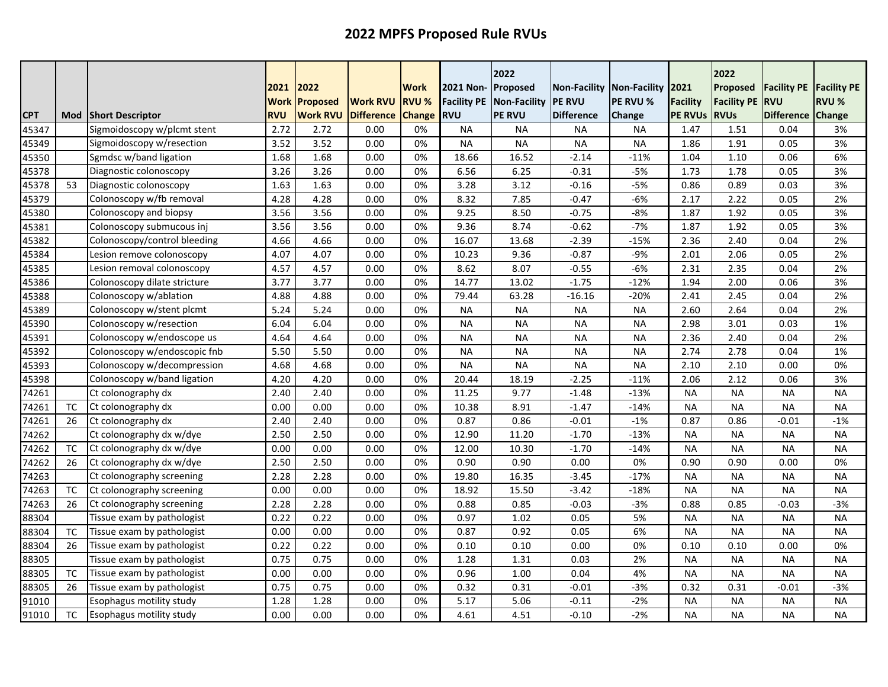|            |           |                                 | 2021<br><b>Work</b> | 2022<br><b>Proposed</b> | <b>Work RVU</b>   | <b>Work</b><br><b>RVU %</b> | 2021 Non-<br><b>Facility PE</b> | 2022<br>Proposed<br>Non-Facility | <b>Non-Facility</b><br><b>PE RVU</b> | Non-Facility 2021<br>PE RVU % | <b>Facility</b> | 2022<br>Proposed<br><b>Facility PE</b> | <b>Facility PE</b><br><b>RVU</b> | <b>Facility PE</b><br>RVU % |
|------------|-----------|---------------------------------|---------------------|-------------------------|-------------------|-----------------------------|---------------------------------|----------------------------------|--------------------------------------|-------------------------------|-----------------|----------------------------------------|----------------------------------|-----------------------------|
| <b>CPT</b> | Mod       | <b>Short Descriptor</b>         | <b>RVU</b>          | <b>Work RVU</b>         | <b>Difference</b> | <b>Change</b>               | <b>RVU</b>                      | <b>PE RVU</b>                    | <b>Difference</b>                    | Change                        | <b>PE RVUS</b>  | <b>RVUs</b>                            | <b>Difference</b>                | Change                      |
| 45347      |           | Sigmoidoscopy w/plcmt stent     | 2.72                | 2.72                    | 0.00              | 0%                          | <b>NA</b>                       | <b>NA</b>                        | <b>NA</b>                            | <b>NA</b>                     | 1.47            | 1.51                                   | 0.04                             | 3%                          |
| 45349      |           | Sigmoidoscopy w/resection       | 3.52                | 3.52                    | 0.00              | 0%                          | <b>NA</b>                       | <b>NA</b>                        | <b>NA</b>                            | <b>NA</b>                     | 1.86            | 1.91                                   | 0.05                             | 3%                          |
| 45350      |           | Sgmdsc w/band ligation          | 1.68                | 1.68                    | 0.00              | 0%                          | 18.66                           | 16.52                            | $-2.14$                              | $-11%$                        | 1.04            | 1.10                                   | 0.06                             | 6%                          |
| 45378      |           | Diagnostic colonoscopy          | 3.26                | 3.26                    | 0.00              | 0%                          | 6.56                            | 6.25                             | $-0.31$                              | $-5%$                         | 1.73            | 1.78                                   | 0.05                             | 3%                          |
| 45378      | 53        | Diagnostic colonoscopy          | 1.63                | 1.63                    | 0.00              | 0%                          | 3.28                            | 3.12                             | $-0.16$                              | $-5%$                         | 0.86            | 0.89                                   | 0.03                             | 3%                          |
| 45379      |           | Colonoscopy w/fb removal        | 4.28                | 4.28                    | 0.00              | 0%                          | 8.32                            | 7.85                             | $-0.47$                              | $-6%$                         | 2.17            | 2.22                                   | 0.05                             | 2%                          |
| 45380      |           | Colonoscopy and biopsy          | 3.56                | 3.56                    | 0.00              | 0%                          | 9.25                            | 8.50                             | $-0.75$                              | $-8%$                         | 1.87            | 1.92                                   | 0.05                             | 3%                          |
| 45381      |           | Colonoscopy submucous inj       | 3.56                | 3.56                    | 0.00              | 0%                          | 9.36                            | 8.74                             | $-0.62$                              | $-7%$                         | 1.87            | 1.92                                   | 0.05                             | 3%                          |
| 45382      |           | Colonoscopy/control bleeding    | 4.66                | 4.66                    | 0.00              | 0%                          | 16.07                           | 13.68                            | $-2.39$                              | $-15%$                        | 2.36            | 2.40                                   | 0.04                             | 2%                          |
| 45384      |           | Lesion remove colonoscopy       | 4.07                | 4.07                    | 0.00              | 0%                          | 10.23                           | 9.36                             | $-0.87$                              | $-9%$                         | 2.01            | 2.06                                   | 0.05                             | 2%                          |
| 45385      |           | Lesion removal colonoscopy      | 4.57                | 4.57                    | 0.00              | 0%                          | 8.62                            | 8.07                             | $-0.55$                              | $-6%$                         | 2.31            | 2.35                                   | 0.04                             | 2%                          |
| 45386      |           | Colonoscopy dilate stricture    | 3.77                | 3.77                    | 0.00              | 0%                          | 14.77                           | 13.02                            | $-1.75$                              | $-12%$                        | 1.94            | 2.00                                   | 0.06                             | 3%                          |
| 45388      |           | Colonoscopy w/ablation          | 4.88                | 4.88                    | 0.00              | 0%                          | 79.44                           | 63.28                            | $-16.16$                             | $-20%$                        | 2.41            | 2.45                                   | 0.04                             | 2%                          |
| 45389      |           | Colonoscopy w/stent plcmt       | 5.24                | 5.24                    | 0.00              | 0%                          | <b>NA</b>                       | <b>NA</b>                        | <b>NA</b>                            | <b>NA</b>                     | 2.60            | 2.64                                   | 0.04                             | 2%                          |
| 45390      |           | Colonoscopy w/resection         | 6.04                | 6.04                    | 0.00              | 0%                          | <b>NA</b>                       | <b>NA</b>                        | <b>NA</b>                            | <b>NA</b>                     | 2.98            | 3.01                                   | 0.03                             | 1%                          |
| 45391      |           | Colonoscopy w/endoscope us      | 4.64                | 4.64                    | 0.00              | 0%                          | <b>NA</b>                       | <b>NA</b>                        | <b>NA</b>                            | <b>NA</b>                     | 2.36            | 2.40                                   | 0.04                             | 2%                          |
| 45392      |           | Colonoscopy w/endoscopic fnb    | 5.50                | 5.50                    | 0.00              | 0%                          | <b>NA</b>                       | <b>NA</b>                        | <b>NA</b>                            | <b>NA</b>                     | 2.74            | 2.78                                   | 0.04                             | 1%                          |
| 45393      |           | Colonoscopy w/decompression     | 4.68                | 4.68                    | 0.00              | 0%                          | <b>NA</b>                       | <b>NA</b>                        | <b>NA</b>                            | <b>NA</b>                     | 2.10            | 2.10                                   | 0.00                             | 0%                          |
| 45398      |           | Colonoscopy w/band ligation     | 4.20                | 4.20                    | 0.00              | 0%                          | 20.44                           | 18.19                            | $-2.25$                              | $-11%$                        | 2.06            | 2.12                                   | 0.06                             | 3%                          |
| 74261      |           | Ct colonography dx              | 2.40                | 2.40                    | 0.00              | 0%                          | 11.25                           | 9.77                             | $-1.48$                              | $-13%$                        | <b>NA</b>       | <b>NA</b>                              | <b>NA</b>                        | <b>NA</b>                   |
| 74261      | TC        | Ct colonography dx              | 0.00                | 0.00                    | 0.00              | 0%                          | 10.38                           | 8.91                             | $-1.47$                              | $-14%$                        | <b>NA</b>       | <b>NA</b>                              | <b>NA</b>                        | <b>NA</b>                   |
| 74261      | 26        | Ct colonography dx              | 2.40                | 2.40                    | 0.00              | 0%                          | 0.87                            | 0.86                             | $-0.01$                              | $-1%$                         | 0.87            | 0.86                                   | $-0.01$                          | $-1%$                       |
| 74262      |           | Ct colonography dx w/dye        | 2.50                | 2.50                    | 0.00              | 0%                          | 12.90                           | 11.20                            | $-1.70$                              | $-13%$                        | <b>NA</b>       | <b>NA</b>                              | <b>NA</b>                        | <b>NA</b>                   |
| 74262      | <b>TC</b> | Ct colonography dx w/dye        | 0.00                | 0.00                    | 0.00              | 0%                          | 12.00                           | 10.30                            | $-1.70$                              | $-14%$                        | <b>NA</b>       | <b>NA</b>                              | <b>NA</b>                        | <b>NA</b>                   |
| 74262      | 26        | Ct colonography dx w/dye        | 2.50                | 2.50                    | 0.00              | 0%                          | 0.90                            | 0.90                             | 0.00                                 | 0%                            | 0.90            | 0.90                                   | 0.00                             | 0%                          |
| 74263      |           | Ct colonography screening       | 2.28                | 2.28                    | 0.00              | 0%                          | 19.80                           | 16.35                            | $-3.45$                              | $-17%$                        | <b>NA</b>       | <b>NA</b>                              | <b>NA</b>                        | <b>NA</b>                   |
| 74263      | TC        | Ct colonography screening       | 0.00                | 0.00                    | 0.00              | 0%                          | 18.92                           | 15.50                            | $-3.42$                              | $-18%$                        | <b>NA</b>       | <b>NA</b>                              | <b>NA</b>                        | <b>NA</b>                   |
| 74263      | 26        | Ct colonography screening       | 2.28                | 2.28                    | 0.00              | 0%                          | 0.88                            | 0.85                             | $-0.03$                              | $-3%$                         | 0.88            | 0.85                                   | $-0.03$                          | $-3%$                       |
| 88304      |           | Tissue exam by pathologist      | 0.22                | 0.22                    | 0.00              | 0%                          | 0.97                            | 1.02                             | 0.05                                 | 5%                            | <b>NA</b>       | <b>NA</b>                              | <b>NA</b>                        | <b>NA</b>                   |
| 88304      | <b>TC</b> | Tissue exam by pathologist      | 0.00                | 0.00                    | 0.00              | 0%                          | 0.87                            | 0.92                             | 0.05                                 | 6%                            | <b>NA</b>       | <b>NA</b>                              | <b>NA</b>                        | <b>NA</b>                   |
| 88304      | 26        | Tissue exam by pathologist      | 0.22                | 0.22                    | 0.00              | 0%                          | 0.10                            | 0.10                             | 0.00                                 | 0%                            | 0.10            | 0.10                                   | 0.00                             | 0%                          |
| 88305      |           | Tissue exam by pathologist      | 0.75                | 0.75                    | 0.00              | 0%                          | 1.28                            | 1.31                             | 0.03                                 | 2%                            | <b>NA</b>       | <b>NA</b>                              | <b>NA</b>                        | <b>NA</b>                   |
| 88305      | TC        | Tissue exam by pathologist      | 0.00                | 0.00                    | 0.00              | 0%                          | 0.96                            | 1.00                             | 0.04                                 | 4%                            | <b>NA</b>       | <b>NA</b>                              | <b>NA</b>                        | <b>NA</b>                   |
| 88305      | 26        | Tissue exam by pathologist      | 0.75                | 0.75                    | 0.00              | 0%                          | 0.32                            | 0.31                             | $-0.01$                              | $-3%$                         | 0.32            | 0.31                                   | $-0.01$                          | $-3%$                       |
| 91010      |           | Esophagus motility study        | 1.28                | 1.28                    | 0.00              | 0%                          | 5.17                            | 5.06                             | $-0.11$                              | $-2%$                         | <b>NA</b>       | <b>NA</b>                              | <b>NA</b>                        | <b>NA</b>                   |
| 91010      | TC        | <b>Esophagus motility study</b> | 0.00                | 0.00                    | 0.00              | 0%                          | 4.61                            | 4.51                             | $-0.10$                              | $-2%$                         | <b>NA</b>       | <b>NA</b>                              | <b>NA</b>                        | <b>NA</b>                   |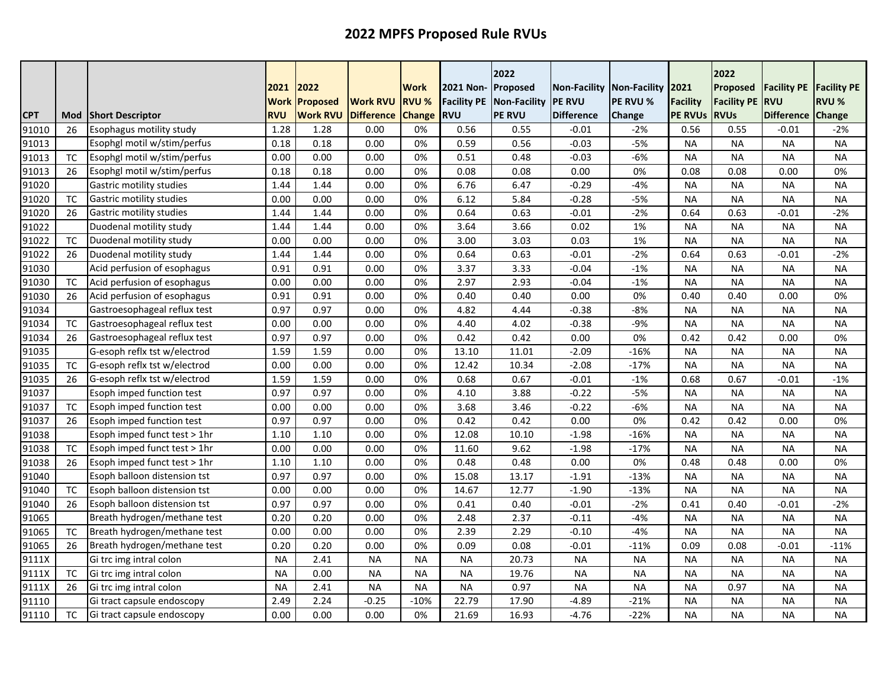|            |           |                                 | 2021<br><b>Work</b> | 2022                               | <b>Work RVU</b>   | <b>Work</b><br><b>RVU %</b> | 2021 Non-<br><b>Facility PE</b> | 2022<br>Proposed              | <b>Non-Facility</b><br><b>PE RVU</b> | Non-Facility 2021<br>PE RVU % | <b>Facility</b> | 2022<br>Proposed<br><b>Facility PE</b> | <b>Facility PE</b><br><b>RVU</b> | <b>Facility PE</b><br><b>RVU %</b> |
|------------|-----------|---------------------------------|---------------------|------------------------------------|-------------------|-----------------------------|---------------------------------|-------------------------------|--------------------------------------|-------------------------------|-----------------|----------------------------------------|----------------------------------|------------------------------------|
| <b>CPT</b> | Mod       | <b>Short Descriptor</b>         | <b>RVU</b>          | <b>Proposed</b><br><b>Work RVU</b> | <b>Difference</b> | <b>Change</b>               | <b>RVU</b>                      | Non-Facility<br><b>PE RVU</b> | <b>Difference</b>                    | Change                        | <b>PE RVUS</b>  | <b>RVUs</b>                            | <b>Difference</b>                | Change                             |
| 91010      | 26        | <b>Esophagus motility study</b> | 1.28                | 1.28                               | 0.00              | 0%                          | 0.56                            | 0.55                          | $-0.01$                              | $-2%$                         | 0.56            | 0.55                                   | $-0.01$                          | -2%                                |
| 91013      |           | Esophgl motil w/stim/perfus     | 0.18                | 0.18                               | 0.00              | 0%                          | 0.59                            | 0.56                          | $-0.03$                              | $-5%$                         | <b>NA</b>       | <b>NA</b>                              | <b>NA</b>                        | NA                                 |
| 91013      | <b>TC</b> | Esophgl motil w/stim/perfus     | 0.00                | 0.00                               | 0.00              | 0%                          | 0.51                            | 0.48                          | $-0.03$                              | $-6%$                         | <b>NA</b>       | <b>NA</b>                              | <b>NA</b>                        | <b>NA</b>                          |
| 91013      | 26        | Esophgl motil w/stim/perfus     | 0.18                | 0.18                               | 0.00              | 0%                          | 0.08                            | 0.08                          | 0.00                                 | 0%                            | 0.08            | 0.08                                   | 0.00                             | 0%                                 |
| 91020      |           | Gastric motility studies        | 1.44                | 1.44                               | 0.00              | 0%                          | 6.76                            | 6.47                          | $-0.29$                              | $-4%$                         | <b>NA</b>       | <b>NA</b>                              | <b>NA</b>                        | <b>NA</b>                          |
| 91020      | <b>TC</b> | Gastric motility studies        | 0.00                | 0.00                               | 0.00              | 0%                          | 6.12                            | 5.84                          | $-0.28$                              | $-5%$                         | <b>NA</b>       | <b>NA</b>                              | <b>NA</b>                        | <b>NA</b>                          |
| 91020      | 26        | Gastric motility studies        | 1.44                | 1.44                               | 0.00              | 0%                          | 0.64                            | 0.63                          | $-0.01$                              | $-2%$                         | 0.64            | 0.63                                   | $-0.01$                          | $-2%$                              |
| 91022      |           | Duodenal motility study         | 1.44                | 1.44                               | 0.00              | 0%                          | 3.64                            | 3.66                          | 0.02                                 | 1%                            | <b>NA</b>       | <b>NA</b>                              | <b>NA</b>                        | <b>NA</b>                          |
| 91022      | <b>TC</b> | Duodenal motility study         | 0.00                | 0.00                               | 0.00              | 0%                          | 3.00                            | 3.03                          | 0.03                                 | 1%                            | <b>NA</b>       | <b>NA</b>                              | <b>NA</b>                        | <b>NA</b>                          |
| 91022      | 26        | Duodenal motility study         | 1.44                | 1.44                               | 0.00              | 0%                          | 0.64                            | 0.63                          | $-0.01$                              | $-2%$                         | 0.64            | 0.63                                   | $-0.01$                          | $-2%$                              |
| 91030      |           | Acid perfusion of esophagus     | 0.91                | 0.91                               | 0.00              | 0%                          | 3.37                            | 3.33                          | $-0.04$                              | $-1%$                         | <b>NA</b>       | <b>NA</b>                              | ΝA                               | <b>NA</b>                          |
| 91030      | <b>TC</b> | Acid perfusion of esophagus     | 0.00                | 0.00                               | 0.00              | 0%                          | 2.97                            | 2.93                          | $-0.04$                              | $-1%$                         | <b>NA</b>       | <b>NA</b>                              | <b>NA</b>                        | <b>NA</b>                          |
| 91030      | 26        | Acid perfusion of esophagus     | 0.91                | 0.91                               | 0.00              | 0%                          | 0.40                            | 0.40                          | 0.00                                 | 0%                            | 0.40            | 0.40                                   | 0.00                             | 0%                                 |
| 91034      |           | Gastroesophageal reflux test    | 0.97                | 0.97                               | 0.00              | 0%                          | 4.82                            | 4.44                          | $-0.38$                              | -8%                           | <b>NA</b>       | <b>NA</b>                              | <b>NA</b>                        | <b>NA</b>                          |
| 91034      | TC        | Gastroesophageal reflux test    | 0.00                | 0.00                               | 0.00              | 0%                          | 4.40                            | 4.02                          | $-0.38$                              | $-9%$                         | <b>NA</b>       | <b>NA</b>                              | <b>NA</b>                        | <b>NA</b>                          |
| 91034      | 26        | Gastroesophageal reflux test    | 0.97                | 0.97                               | 0.00              | 0%                          | 0.42                            | 0.42                          | 0.00                                 | 0%                            | 0.42            | 0.42                                   | 0.00                             | 0%                                 |
| 91035      |           | G-esoph reflx tst w/electrod    | 1.59                | 1.59                               | 0.00              | 0%                          | 13.10                           | 11.01                         | $-2.09$                              | $-16%$                        | <b>NA</b>       | <b>NA</b>                              | <b>NA</b>                        | <b>NA</b>                          |
| 91035      | <b>TC</b> | G-esoph reflx tst w/electrod    | 0.00                | 0.00                               | 0.00              | 0%                          | 12.42                           | 10.34                         | $-2.08$                              | $-17%$                        | <b>NA</b>       | <b>NA</b>                              | <b>NA</b>                        | <b>NA</b>                          |
| 91035      | 26        | G-esoph reflx tst w/electrod    | 1.59                | 1.59                               | 0.00              | 0%                          | 0.68                            | 0.67                          | $-0.01$                              | $-1%$                         | 0.68            | 0.67                                   | $-0.01$                          | $-1%$                              |
| 91037      |           | Esoph imped function test       | 0.97                | 0.97                               | 0.00              | 0%                          | 4.10                            | 3.88                          | $-0.22$                              | $-5%$                         | <b>NA</b>       | <b>NA</b>                              | <b>NA</b>                        | <b>NA</b>                          |
| 91037      | TC        | Esoph imped function test       | 0.00                | 0.00                               | 0.00              | 0%                          | 3.68                            | 3.46                          | $-0.22$                              | $-6%$                         | <b>NA</b>       | <b>NA</b>                              | <b>NA</b>                        | <b>NA</b>                          |
| 91037      | 26        | Esoph imped function test       | 0.97                | 0.97                               | 0.00              | 0%                          | 0.42                            | 0.42                          | 0.00                                 | 0%                            | 0.42            | 0.42                                   | 0.00                             | 0%                                 |
| 91038      |           | Esoph imped funct test > 1hr    | 1.10                | 1.10                               | 0.00              | 0%                          | 12.08                           | 10.10                         | $-1.98$                              | $-16%$                        | <b>NA</b>       | <b>NA</b>                              | <b>NA</b>                        | <b>NA</b>                          |
| 91038      | <b>TC</b> | Esoph imped funct test > 1hr    | 0.00                | 0.00                               | 0.00              | 0%                          | 11.60                           | 9.62                          | $-1.98$                              | $-17%$                        | <b>NA</b>       | <b>NA</b>                              | <b>NA</b>                        | <b>NA</b>                          |
| 91038      | 26        | Esoph imped funct test > 1hr    | 1.10                | 1.10                               | 0.00              | 0%                          | 0.48                            | 0.48                          | 0.00                                 | 0%                            | 0.48            | 0.48                                   | 0.00                             | 0%                                 |
| 91040      |           | Esoph balloon distension tst    | 0.97                | 0.97                               | 0.00              | 0%                          | 15.08                           | 13.17                         | $-1.91$                              | $-13%$                        | <b>NA</b>       | <b>NA</b>                              | <b>NA</b>                        | <b>NA</b>                          |
| 91040      | TC        | Esoph balloon distension tst    | 0.00                | 0.00                               | 0.00              | 0%                          | 14.67                           | 12.77                         | $-1.90$                              | $-13%$                        | <b>NA</b>       | <b>NA</b>                              | <b>NA</b>                        | NA                                 |
| 91040      | 26        | Esoph balloon distension tst    | 0.97                | 0.97                               | 0.00              | 0%                          | 0.41                            | 0.40                          | $-0.01$                              | $-2%$                         | 0.41            | 0.40                                   | $-0.01$                          | $-2%$                              |
| 91065      |           | Breath hydrogen/methane test    | 0.20                | 0.20                               | 0.00              | 0%                          | 2.48                            | 2.37                          | $-0.11$                              | $-4%$                         | <b>NA</b>       | <b>NA</b>                              | <b>NA</b>                        | <b>NA</b>                          |
| 91065      | <b>TC</b> | Breath hydrogen/methane test    | 0.00                | 0.00                               | 0.00              | 0%                          | 2.39                            | 2.29                          | $-0.10$                              | $-4%$                         | <b>NA</b>       | <b>NA</b>                              | <b>NA</b>                        | <b>NA</b>                          |
| 91065      | 26        | Breath hydrogen/methane test    | 0.20                | 0.20                               | 0.00              | 0%                          | 0.09                            | 0.08                          | $-0.01$                              | $-11%$                        | 0.09            | 0.08                                   | $-0.01$                          | $-11%$                             |
| 9111X      |           | Gi trc img intral colon         | <b>NA</b>           | 2.41                               | <b>NA</b>         | <b>NA</b>                   | <b>NA</b>                       | 20.73                         | <b>NA</b>                            | <b>NA</b>                     | <b>NA</b>       | <b>NA</b>                              | <b>NA</b>                        | <b>NA</b>                          |
| 9111X      | TC        | Gi trc img intral colon         | <b>NA</b>           | 0.00                               | <b>NA</b>         | <b>NA</b>                   | <b>NA</b>                       | 19.76                         | <b>NA</b>                            | <b>NA</b>                     | <b>NA</b>       | <b>NA</b>                              | <b>NA</b>                        | <b>NA</b>                          |
| 9111X      | 26        | Gi trc img intral colon         | <b>NA</b>           | 2.41                               | <b>NA</b>         | <b>NA</b>                   | <b>NA</b>                       | 0.97                          | <b>NA</b>                            | <b>NA</b>                     | <b>NA</b>       | 0.97                                   | <b>NA</b>                        | <b>NA</b>                          |
| 91110      |           | Gi tract capsule endoscopy      | 2.49                | 2.24                               | $-0.25$           | $-10%$                      | 22.79                           | 17.90                         | $-4.89$                              | $-21%$                        | <b>NA</b>       | <b>NA</b>                              | <b>NA</b>                        | <b>NA</b>                          |
| 91110      | <b>TC</b> | Gi tract capsule endoscopy      | 0.00                | 0.00                               | 0.00              | 0%                          | 21.69                           | 16.93                         | $-4.76$                              | $-22%$                        | <b>NA</b>       | <b>NA</b>                              | <b>NA</b>                        | <b>NA</b>                          |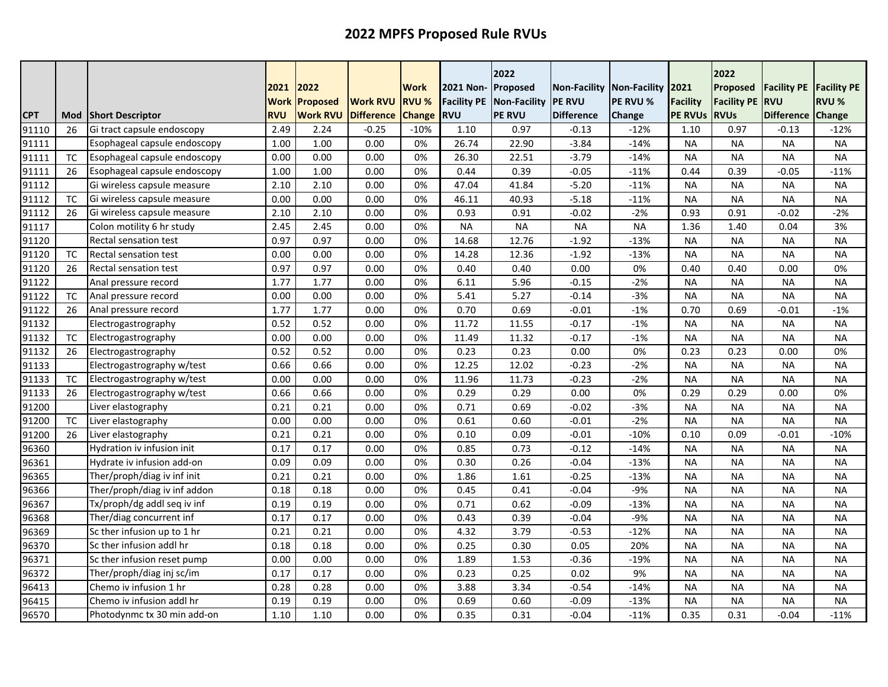|            |           |                              | 2021<br><b>Work</b> | 2022<br>Proposed | <b>Work RVU</b> | Work<br><b>RVU %</b> | 2021 Non- Proposed<br><b>Facility PE</b> | 2022<br>Non-Facility | Non-Facility<br><b>IPE RVU</b> | Non-Facility<br>PE RVU % | 2021<br><b>Facility</b> | 2022<br>Proposed<br><b>Facility PE</b> | <b>Facility PE</b><br><b>RVU</b> | <b>Facility PE</b><br><b>RVU %</b> |
|------------|-----------|------------------------------|---------------------|------------------|-----------------|----------------------|------------------------------------------|----------------------|--------------------------------|--------------------------|-------------------------|----------------------------------------|----------------------------------|------------------------------------|
| <b>CPT</b> | Mod       | <b>Short Descriptor</b>      | <b>RVU</b>          | <b>Work RVU</b>  | Difference      | <b>Change</b>        | <b>RVU</b>                               | <b>PE RVU</b>        | <b>Difference</b>              | Change                   | <b>PE RVUS</b>          | <b>RVUs</b>                            | <b>Difference</b>                | Change                             |
| 91110      | 26        | Gi tract capsule endoscopy   | 2.49                | 2.24             | $-0.25$         | $-10%$               | 1.10                                     | 0.97                 | $-0.13$                        | $-12%$                   | 1.10                    | 0.97                                   | $-0.13$                          | -12%                               |
| 91111      |           | Esophageal capsule endoscopy | 1.00                | 1.00             | 0.00            | 0%                   | 26.74                                    | 22.90                | $-3.84$                        | $-14%$                   | <b>NA</b>               | <b>NA</b>                              | <b>NA</b>                        | NA                                 |
| 91111      | <b>TC</b> | Esophageal capsule endoscopy | 0.00                | 0.00             | 0.00            | 0%                   | 26.30                                    | 22.51                | $-3.79$                        | $-14%$                   | <b>NA</b>               | <b>NA</b>                              | <b>NA</b>                        | <b>NA</b>                          |
| 91111      | 26        | Esophageal capsule endoscopy | 1.00                | 1.00             | 0.00            | 0%                   | 0.44                                     | 0.39                 | $-0.05$                        | $-11%$                   | 0.44                    | 0.39                                   | $-0.05$                          | $-11%$                             |
| 91112      |           | Gi wireless capsule measure  | 2.10                | 2.10             | 0.00            | 0%                   | 47.04                                    | 41.84                | $-5.20$                        | $-11%$                   | <b>NA</b>               | <b>NA</b>                              | <b>NA</b>                        | <b>NA</b>                          |
| 91112      | <b>TC</b> | Gi wireless capsule measure  | 0.00                | 0.00             | 0.00            | 0%                   | 46.11                                    | 40.93                | $-5.18$                        | $-11%$                   | <b>NA</b>               | <b>NA</b>                              | <b>NA</b>                        | <b>NA</b>                          |
| 91112      | 26        | Gi wireless capsule measure  | 2.10                | 2.10             | 0.00            | 0%                   | 0.93                                     | 0.91                 | $-0.02$                        | $-2%$                    | 0.93                    | 0.91                                   | $-0.02$                          | $-2%$                              |
| 91117      |           | Colon motility 6 hr study    | 2.45                | 2.45             | 0.00            | 0%                   | <b>NA</b>                                | <b>NA</b>            | <b>NA</b>                      | <b>NA</b>                | 1.36                    | 1.40                                   | 0.04                             | 3%                                 |
| 91120      |           | <b>Rectal sensation test</b> | 0.97                | 0.97             | 0.00            | 0%                   | 14.68                                    | 12.76                | $-1.92$                        | $-13%$                   | <b>NA</b>               | <b>NA</b>                              | <b>NA</b>                        | <b>NA</b>                          |
| 91120      | <b>TC</b> | <b>Rectal sensation test</b> | 0.00                | 0.00             | 0.00            | 0%                   | 14.28                                    | 12.36                | $-1.92$                        | $-13%$                   | <b>NA</b>               | <b>NA</b>                              | <b>NA</b>                        | <b>NA</b>                          |
| 91120      | 26        | <b>Rectal sensation test</b> | 0.97                | 0.97             | 0.00            | 0%                   | 0.40                                     | 0.40                 | 0.00                           | 0%                       | 0.40                    | 0.40                                   | 0.00                             | 0%                                 |
| 91122      |           | Anal pressure record         | 1.77                | 1.77             | 0.00            | 0%                   | 6.11                                     | 5.96                 | $-0.15$                        | $-2%$                    | <b>NA</b>               | <b>NA</b>                              | <b>NA</b>                        | <b>NA</b>                          |
| 91122      | <b>TC</b> | Anal pressure record         | 0.00                | 0.00             | 0.00            | 0%                   | 5.41                                     | 5.27                 | $-0.14$                        | $-3%$                    | <b>NA</b>               | <b>NA</b>                              | <b>NA</b>                        | <b>NA</b>                          |
| 91122      | 26        | Anal pressure record         | 1.77                | 1.77             | 0.00            | 0%                   | 0.70                                     | 0.69                 | $-0.01$                        | $-1%$                    | 0.70                    | 0.69                                   | $-0.01$                          | $-1%$                              |
| 91132      |           | Electrogastrography          | 0.52                | 0.52             | 0.00            | 0%                   | 11.72                                    | 11.55                | $-0.17$                        | $-1%$                    | <b>NA</b>               | <b>NA</b>                              | <b>NA</b>                        | <b>NA</b>                          |
| 91132      | <b>TC</b> | Electrogastrography          | 0.00                | 0.00             | 0.00            | 0%                   | 11.49                                    | 11.32                | $-0.17$                        | $-1%$                    | <b>NA</b>               | <b>NA</b>                              | <b>NA</b>                        | <b>NA</b>                          |
| 91132      | 26        | Electrogastrography          | 0.52                | 0.52             | 0.00            | 0%                   | 0.23                                     | 0.23                 | 0.00                           | 0%                       | 0.23                    | 0.23                                   | 0.00                             | 0%                                 |
| 91133      |           | Electrogastrography w/test   | 0.66                | 0.66             | 0.00            | 0%                   | 12.25                                    | 12.02                | $-0.23$                        | $-2%$                    | <b>NA</b>               | <b>NA</b>                              | <b>NA</b>                        | <b>NA</b>                          |
| 91133      | TC        | Electrogastrography w/test   | 0.00                | 0.00             | 0.00            | 0%                   | 11.96                                    | 11.73                | $-0.23$                        | $-2%$                    | <b>NA</b>               | <b>NA</b>                              | <b>NA</b>                        | <b>NA</b>                          |
| 91133      | 26        | Electrogastrography w/test   | 0.66                | 0.66             | 0.00            | 0%                   | 0.29                                     | 0.29                 | 0.00                           | 0%                       | 0.29                    | 0.29                                   | 0.00                             | 0%                                 |
| 91200      |           | Liver elastography           | 0.21                | 0.21             | 0.00            | 0%                   | 0.71                                     | 0.69                 | $-0.02$                        | $-3%$                    | <b>NA</b>               | <b>NA</b>                              | <b>NA</b>                        | <b>NA</b>                          |
| 91200      | <b>TC</b> | Liver elastography           | 0.00                | 0.00             | 0.00            | 0%                   | 0.61                                     | 0.60                 | $-0.01$                        | $-2%$                    | <b>NA</b>               | <b>NA</b>                              | <b>NA</b>                        | <b>NA</b>                          |
| 91200      | 26        | Liver elastography           | 0.21                | 0.21             | 0.00            | 0%                   | 0.10                                     | 0.09                 | $-0.01$                        | $-10%$                   | 0.10                    | 0.09                                   | $-0.01$                          | $-10%$                             |
| 96360      |           | Hydration iv infusion init   | 0.17                | 0.17             | 0.00            | 0%                   | 0.85                                     | 0.73                 | $-0.12$                        | $-14%$                   | <b>NA</b>               | <b>NA</b>                              | <b>NA</b>                        | <b>NA</b>                          |
| 96361      |           | Hydrate iv infusion add-on   | 0.09                | 0.09             | 0.00            | 0%                   | 0.30                                     | 0.26                 | $-0.04$                        | $-13%$                   | <b>NA</b>               | <b>NA</b>                              | <b>NA</b>                        | <b>NA</b>                          |
| 96365      |           | Ther/proph/diag iv inf init  | 0.21                | 0.21             | 0.00            | 0%                   | 1.86                                     | 1.61                 | $-0.25$                        | $-13%$                   | <b>NA</b>               | <b>NA</b>                              | <b>NA</b>                        | <b>NA</b>                          |
| 96366      |           | Ther/proph/diag iv inf addon | 0.18                | 0.18             | 0.00            | 0%                   | 0.45                                     | 0.41                 | $-0.04$                        | $-9%$                    | <b>NA</b>               | <b>NA</b>                              | <b>NA</b>                        | <b>NA</b>                          |
| 96367      |           | Tx/proph/dg addl seq iv inf  | 0.19                | 0.19             | 0.00            | 0%                   | 0.71                                     | 0.62                 | $-0.09$                        | $-13%$                   | <b>NA</b>               | <b>NA</b>                              | <b>NA</b>                        | <b>NA</b>                          |
| 96368      |           | Ther/diag concurrent inf     | 0.17                | 0.17             | 0.00            | 0%                   | 0.43                                     | 0.39                 | $-0.04$                        | $-9%$                    | <b>NA</b>               | <b>NA</b>                              | <b>NA</b>                        | <b>NA</b>                          |
| 96369      |           | Sc ther infusion up to 1 hr  | 0.21                | 0.21             | 0.00            | 0%                   | 4.32                                     | 3.79                 | $-0.53$                        | $-12%$                   | <b>NA</b>               | <b>NA</b>                              | <b>NA</b>                        | <b>NA</b>                          |
| 96370      |           | Sc ther infusion addl hr     | 0.18                | 0.18             | 0.00            | 0%                   | 0.25                                     | 0.30                 | 0.05                           | 20%                      | <b>NA</b>               | <b>NA</b>                              | <b>NA</b>                        | <b>NA</b>                          |
| 96371      |           | Sc ther infusion reset pump  | 0.00                | 0.00             | 0.00            | 0%                   | 1.89                                     | 1.53                 | $-0.36$                        | $-19%$                   | <b>NA</b>               | <b>NA</b>                              | <b>NA</b>                        | <b>NA</b>                          |
| 96372      |           | Ther/proph/diag inj sc/im    | 0.17                | 0.17             | 0.00            | 0%                   | 0.23                                     | 0.25                 | 0.02                           | 9%                       | <b>NA</b>               | <b>NA</b>                              | <b>NA</b>                        | <b>NA</b>                          |
| 96413      |           | Chemo iv infusion 1 hr       | 0.28                | 0.28             | 0.00            | 0%                   | 3.88                                     | 3.34                 | $-0.54$                        | $-14%$                   | <b>NA</b>               | <b>NA</b>                              | <b>NA</b>                        | <b>NA</b>                          |
| 96415      |           | Chemo iv infusion addl hr    | 0.19                | 0.19             | 0.00            | 0%                   | 0.69                                     | 0.60                 | $-0.09$                        | $-13%$                   | <b>NA</b>               | <b>NA</b>                              | <b>NA</b>                        | <b>NA</b>                          |
| 96570      |           | Photodynmc tx 30 min add-on  | 1.10                | 1.10             | 0.00            | 0%                   | 0.35                                     | 0.31                 | $-0.04$                        | $-11%$                   | 0.35                    | 0.31                                   | $-0.04$                          | $-11%$                             |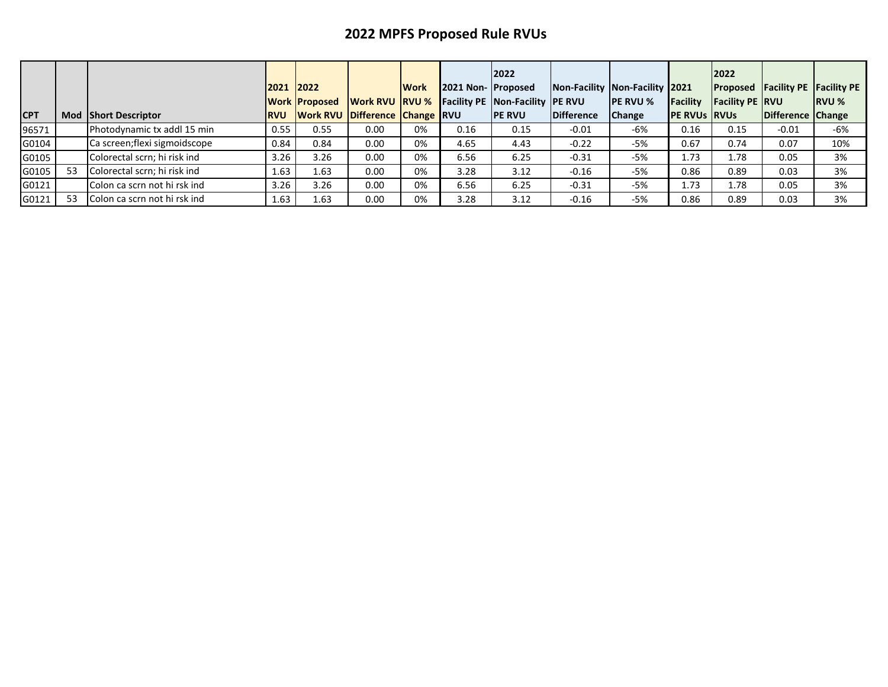|            |    |                              | 2021 2022   | <b>Work Proposed</b> | <b>IWork RVU IRVU %</b>               | <b>IWork</b> | 2021 Non- Proposed | 2022<br><b>Facility PE Non-Facility PE RVU</b> | Non-Facility Non-Facility 2021 | <b>IPE RVU %</b> | Facility            | 2022<br><b>Facility PE RVU</b> | <b>Proposed Facility PE Facility PE</b> | <b>IRVU %</b> |
|------------|----|------------------------------|-------------|----------------------|---------------------------------------|--------------|--------------------|------------------------------------------------|--------------------------------|------------------|---------------------|--------------------------------|-----------------------------------------|---------------|
| <b>CPT</b> |    | <b>Mod Short Descriptor</b>  | <b>IRVU</b> |                      | <b>Work RVU Difference Change RVU</b> |              |                    | <b>IPE RVU</b>                                 | <b>IDifference</b>             | <b>Change</b>    | <b>PE RVUS RVUS</b> |                                | Difference Change                       |               |
| 96571      |    | Photodynamic tx addl 15 min  | 0.55        | 0.55                 | 0.00                                  | 0%           | 0.16               | 0.15                                           | $-0.01$                        | -6%              | 0.16                | 0.15                           | $-0.01$                                 | -6%           |
| G0104      |    | Ca screen;flexi sigmoidscope | 0.84        | 0.84                 | 0.00                                  | 0%           | 4.65               | 4.43                                           | $-0.22$                        | $-5%$            | 0.67                | 0.74                           | 0.07                                    | 10%           |
| G0105      |    | Colorectal scrn; hi risk ind | 3.26        | 3.26                 | 0.00                                  | 0%           | 6.56               | 6.25                                           | $-0.31$                        | $-5%$            | 1.73                | 1.78                           | 0.05                                    | 3%            |
| G0105      | 53 | Colorectal scrn; hi risk ind | 1.63        | 1.63                 | 0.00                                  | 0%           | 3.28               | 3.12                                           | $-0.16$                        | $-5%$            | 0.86                | 0.89                           | 0.03                                    | 3%            |
| G0121      |    | Colon ca scrn not hi rsk ind | 3.26        | 3.26                 | 0.00                                  | 0%           | 6.56               | 6.25                                           | $-0.31$                        | $-5%$            | 1.73                | 1.78                           | 0.05                                    | 3%            |
| G0121      | 53 | Colon ca scrn not hi rsk ind | 1.63        | 1.63                 | 0.00                                  | 0%           | 3.28               | 3.12                                           | $-0.16$                        | $-5%$            | 0.86                | 0.89                           | 0.03                                    | 3%            |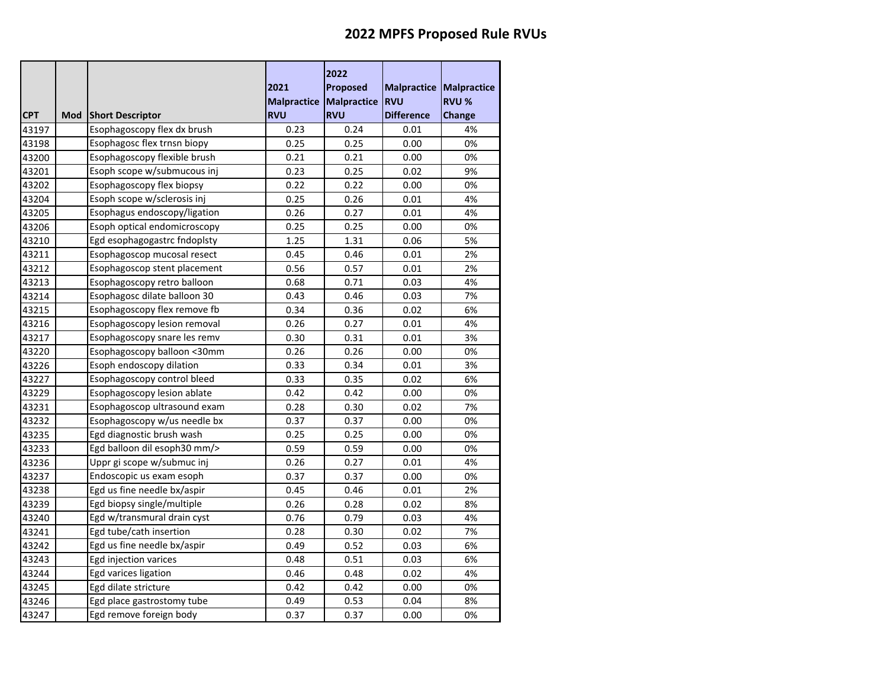|            |     |                              | 2021<br>Malpractice Malpractice | 2022<br><b>Proposed</b> | Malpractice<br><b>RVU</b> | <b>Malpractice</b><br><b>RVU %</b> |
|------------|-----|------------------------------|---------------------------------|-------------------------|---------------------------|------------------------------------|
| <b>CPT</b> | Mod | <b>Short Descriptor</b>      | <b>RVU</b>                      | <b>RVU</b>              | <b>Difference</b>         | Change                             |
| 43197      |     | Esophagoscopy flex dx brush  | 0.23                            | 0.24                    | 0.01                      | 4%                                 |
| 43198      |     | Esophagosc flex trnsn biopy  | 0.25                            | 0.25                    | 0.00                      | 0%                                 |
| 43200      |     | Esophagoscopy flexible brush | 0.21                            | 0.21                    | 0.00                      | 0%                                 |
| 43201      |     | Esoph scope w/submucous inj  | 0.23                            | 0.25                    | 0.02                      | 9%                                 |
| 43202      |     | Esophagoscopy flex biopsy    | 0.22                            | 0.22                    | 0.00                      | 0%                                 |
| 43204      |     | Esoph scope w/sclerosis inj  | 0.25                            | 0.26                    | 0.01                      | 4%                                 |
| 43205      |     | Esophagus endoscopy/ligation | 0.26                            | 0.27                    | 0.01                      | 4%                                 |
| 43206      |     | Esoph optical endomicroscopy | 0.25                            | 0.25                    | 0.00                      | 0%                                 |
| 43210      |     | Egd esophagogastrc fndoplsty | 1.25                            | 1.31                    | 0.06                      | 5%                                 |
| 43211      |     | Esophagoscop mucosal resect  | 0.45                            | 0.46                    | 0.01                      | 2%                                 |
| 43212      |     | Esophagoscop stent placement | 0.56                            | 0.57                    | 0.01                      | 2%                                 |
| 43213      |     | Esophagoscopy retro balloon  | 0.68                            | 0.71                    | 0.03                      | 4%                                 |
| 43214      |     | Esophagosc dilate balloon 30 | 0.43                            | 0.46                    | 0.03                      | 7%                                 |
| 43215      |     | Esophagoscopy flex remove fb | 0.34                            | 0.36                    | 0.02                      | 6%                                 |
| 43216      |     | Esophagoscopy lesion removal | 0.26                            | 0.27                    | 0.01                      | 4%                                 |
| 43217      |     | Esophagoscopy snare les remv | 0.30                            | 0.31                    | 0.01                      | 3%                                 |
| 43220      |     | Esophagoscopy balloon <30mm  | 0.26                            | 0.26                    | 0.00                      | 0%                                 |
| 43226      |     | Esoph endoscopy dilation     | 0.33                            | 0.34                    | 0.01                      | 3%                                 |
| 43227      |     | Esophagoscopy control bleed  | 0.33                            | 0.35                    | 0.02                      | 6%                                 |
| 43229      |     | Esophagoscopy lesion ablate  | 0.42                            | 0.42                    | 0.00                      | 0%                                 |
| 43231      |     | Esophagoscop ultrasound exam | 0.28                            | 0.30                    | 0.02                      | 7%                                 |
| 43232      |     | Esophagoscopy w/us needle bx | 0.37                            | 0.37                    | 0.00                      | 0%                                 |
| 43235      |     | Egd diagnostic brush wash    | 0.25                            | 0.25                    | 0.00                      | 0%                                 |
| 43233      |     | Egd balloon dil esoph30 mm/> | 0.59                            | 0.59                    | 0.00                      | 0%                                 |
| 43236      |     | Uppr gi scope w/submuc inj   | 0.26                            | 0.27                    | 0.01                      | 4%                                 |
| 43237      |     | Endoscopic us exam esoph     | 0.37                            | 0.37                    | 0.00                      | 0%                                 |
| 43238      |     | Egd us fine needle bx/aspir  | 0.45                            | 0.46                    | 0.01                      | 2%                                 |
| 43239      |     | Egd biopsy single/multiple   | 0.26                            | 0.28                    | 0.02                      | 8%                                 |
| 43240      |     | Egd w/transmural drain cyst  | 0.76                            | 0.79                    | 0.03                      | 4%                                 |
| 43241      |     | Egd tube/cath insertion      | 0.28                            | 0.30                    | 0.02                      | 7%                                 |
| 43242      |     | Egd us fine needle bx/aspir  | 0.49                            | 0.52                    | 0.03                      | 6%                                 |
| 43243      |     | Egd injection varices        | 0.48                            | 0.51                    | 0.03                      | 6%                                 |
| 43244      |     | Egd varices ligation         | 0.46                            | 0.48                    | 0.02                      | 4%                                 |
| 43245      |     | Egd dilate stricture         | 0.42                            | 0.42                    | 0.00                      | 0%                                 |
| 43246      |     | Egd place gastrostomy tube   | 0.49                            | 0.53                    | 0.04                      | 8%                                 |
| 43247      |     | Egd remove foreign body      | 0.37                            | 0.37                    | 0.00                      | 0%                                 |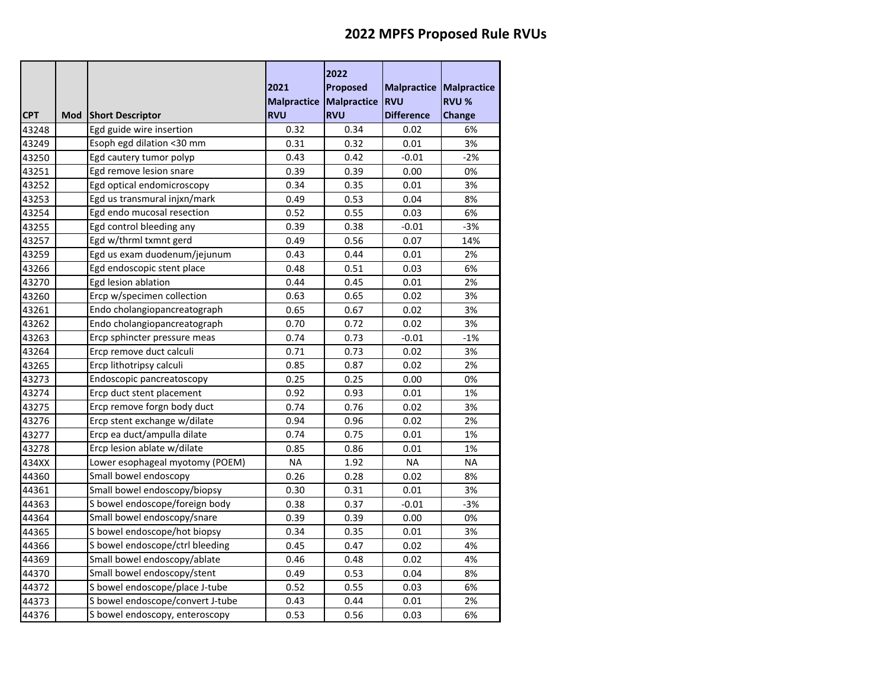|            |     |                                  | 2021<br>Malpractice Malpractice | 2022<br><b>Proposed</b> | <b>Malpractice Malpractice</b><br><b>RVU</b> | <b>RVU %</b> |
|------------|-----|----------------------------------|---------------------------------|-------------------------|----------------------------------------------|--------------|
| <b>CPT</b> | Mod | <b>Short Descriptor</b>          | <b>RVU</b>                      | <b>RVU</b>              | <b>Difference</b>                            | Change       |
| 43248      |     | Egd guide wire insertion         | 0.32                            | 0.34                    | 0.02                                         | 6%           |
| 43249      |     | Esoph egd dilation <30 mm        | 0.31                            | 0.32                    | 0.01                                         | 3%           |
| 43250      |     | Egd cautery tumor polyp          | 0.43                            | 0.42                    | $-0.01$                                      | $-2%$        |
| 43251      |     | Egd remove lesion snare          | 0.39                            | 0.39                    | 0.00                                         | 0%           |
| 43252      |     | Egd optical endomicroscopy       | 0.34                            | 0.35                    | 0.01                                         | 3%           |
| 43253      |     | Egd us transmural injxn/mark     | 0.49                            | 0.53                    | 0.04                                         | 8%           |
| 43254      |     | Egd endo mucosal resection       | 0.52                            | 0.55                    | 0.03                                         | 6%           |
| 43255      |     | Egd control bleeding any         | 0.39                            | 0.38                    | $-0.01$                                      | $-3%$        |
| 43257      |     | Egd w/thrml txmnt gerd           | 0.49                            | 0.56                    | 0.07                                         | 14%          |
| 43259      |     | Egd us exam duodenum/jejunum     | 0.43                            | 0.44                    | 0.01                                         | 2%           |
| 43266      |     | Egd endoscopic stent place       | 0.48                            | 0.51                    | 0.03                                         | 6%           |
| 43270      |     | Egd lesion ablation              | 0.44                            | 0.45                    | 0.01                                         | 2%           |
| 43260      |     | Ercp w/specimen collection       | 0.63                            | 0.65                    | 0.02                                         | 3%           |
| 43261      |     | Endo cholangiopancreatograph     | 0.65                            | 0.67                    | 0.02                                         | 3%           |
| 43262      |     | Endo cholangiopancreatograph     | 0.70                            | 0.72                    | 0.02                                         | 3%           |
| 43263      |     | Ercp sphincter pressure meas     | 0.74                            | 0.73                    | $-0.01$                                      | $-1%$        |
| 43264      |     | Ercp remove duct calculi         | 0.71                            | 0.73                    | 0.02                                         | 3%           |
| 43265      |     | Ercp lithotripsy calculi         | 0.85                            | 0.87                    | 0.02                                         | 2%           |
| 43273      |     | Endoscopic pancreatoscopy        | 0.25                            | 0.25                    | 0.00                                         | 0%           |
| 43274      |     | Ercp duct stent placement        | 0.92                            | 0.93                    | 0.01                                         | 1%           |
| 43275      |     | Ercp remove forgn body duct      | 0.74                            | 0.76                    | 0.02                                         | 3%           |
| 43276      |     | Ercp stent exchange w/dilate     | 0.94                            | 0.96                    | 0.02                                         | 2%           |
| 43277      |     | Ercp ea duct/ampulla dilate      | 0.74                            | 0.75                    | 0.01                                         | 1%           |
| 43278      |     | Ercp lesion ablate w/dilate      | 0.85                            | 0.86                    | 0.01                                         | 1%           |
| 434XX      |     | Lower esophageal myotomy (POEM)  | <b>NA</b>                       | 1.92                    | <b>NA</b>                                    | NA           |
| 44360      |     | Small bowel endoscopy            | 0.26                            | 0.28                    | 0.02                                         | 8%           |
| 44361      |     | Small bowel endoscopy/biopsy     | 0.30                            | 0.31                    | 0.01                                         | 3%           |
| 44363      |     | S bowel endoscope/foreign body   | 0.38                            | 0.37                    | $-0.01$                                      | $-3%$        |
| 44364      |     | Small bowel endoscopy/snare      | 0.39                            | 0.39                    | 0.00                                         | 0%           |
| 44365      |     | S bowel endoscope/hot biopsy     | 0.34                            | 0.35                    | 0.01                                         | 3%           |
| 44366      |     | S bowel endoscope/ctrl bleeding  | 0.45                            | 0.47                    | 0.02                                         | 4%           |
| 44369      |     | Small bowel endoscopy/ablate     | 0.46                            | 0.48                    | 0.02                                         | 4%           |
| 44370      |     | Small bowel endoscopy/stent      | 0.49                            | 0.53                    | 0.04                                         | 8%           |
| 44372      |     | S bowel endoscope/place J-tube   | 0.52                            | 0.55                    | 0.03                                         | 6%           |
| 44373      |     | S bowel endoscope/convert J-tube | 0.43                            | 0.44                    | 0.01                                         | 2%           |
| 44376      |     | S bowel endoscopy, enteroscopy   | 0.53                            | 0.56                    | 0.03                                         | 6%           |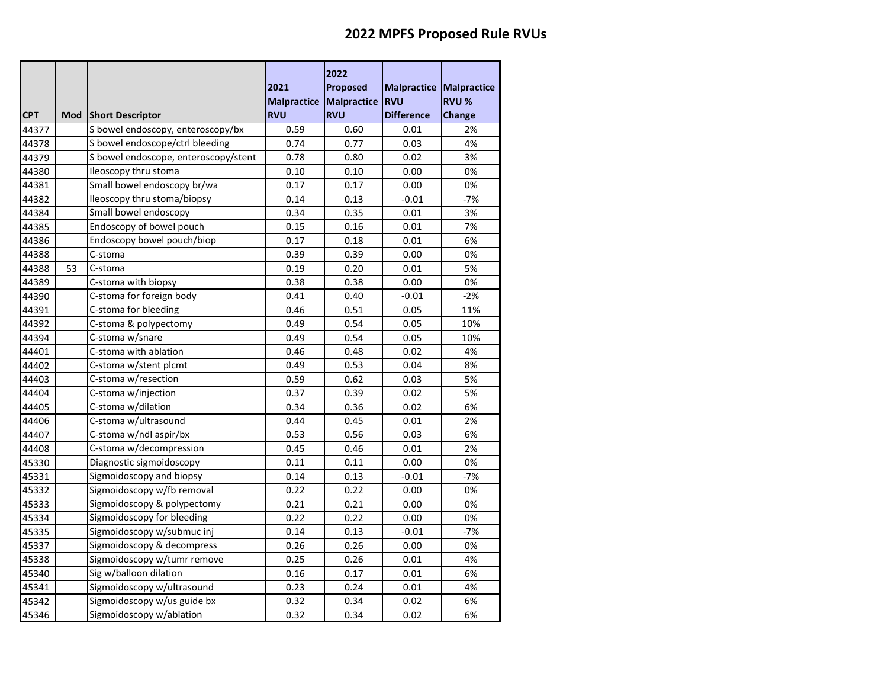|            |     |                                      | 2021<br>Malpractice Malpractice | 2022<br>Proposed | Malpractice<br><b>RVU</b> | <b>Malpractice</b><br><b>RVU %</b> |
|------------|-----|--------------------------------------|---------------------------------|------------------|---------------------------|------------------------------------|
| <b>CPT</b> | Mod | <b>Short Descriptor</b>              | <b>RVU</b>                      | <b>RVU</b>       | <b>Difference</b>         | Change                             |
| 44377      |     | S bowel endoscopy, enteroscopy/bx    | 0.59                            | 0.60             | 0.01                      | 2%                                 |
| 44378      |     | S bowel endoscope/ctrl bleeding      | 0.74                            | 0.77             | 0.03                      | 4%                                 |
| 44379      |     | S bowel endoscope, enteroscopy/stent | 0.78                            | 0.80             | 0.02                      | 3%                                 |
| 44380      |     | Ileoscopy thru stoma                 | 0.10                            | 0.10             | 0.00                      | 0%                                 |
| 44381      |     | Small bowel endoscopy br/wa          | 0.17                            | 0.17             | 0.00                      | 0%                                 |
| 44382      |     | Ileoscopy thru stoma/biopsy          | 0.14                            | 0.13             | $-0.01$                   | $-7%$                              |
| 44384      |     | Small bowel endoscopy                | 0.34                            | 0.35             | 0.01                      | 3%                                 |
| 44385      |     | Endoscopy of bowel pouch             | 0.15                            | 0.16             | 0.01                      | 7%                                 |
| 44386      |     | Endoscopy bowel pouch/biop           | 0.17                            | 0.18             | 0.01                      | 6%                                 |
| 44388      |     | C-stoma                              | 0.39                            | 0.39             | 0.00                      | 0%                                 |
| 44388      | 53  | C-stoma                              | 0.19                            | 0.20             | 0.01                      | 5%                                 |
| 44389      |     | C-stoma with biopsy                  | 0.38                            | 0.38             | 0.00                      | 0%                                 |
| 44390      |     | C-stoma for foreign body             | 0.41                            | 0.40             | $-0.01$                   | $-2%$                              |
| 44391      |     | C-stoma for bleeding                 | 0.46                            | 0.51             | 0.05                      | 11%                                |
| 44392      |     | C-stoma & polypectomy                | 0.49                            | 0.54             | 0.05                      | 10%                                |
| 44394      |     | C-stoma w/snare                      | 0.49                            | 0.54             | 0.05                      | 10%                                |
| 44401      |     | C-stoma with ablation                | 0.46                            | 0.48             | 0.02                      | 4%                                 |
| 44402      |     | C-stoma w/stent plcmt                | 0.49                            | 0.53             | 0.04                      | 8%                                 |
| 44403      |     | C-stoma w/resection                  | 0.59                            | 0.62             | 0.03                      | 5%                                 |
| 44404      |     | C-stoma w/injection                  | 0.37                            | 0.39             | 0.02                      | 5%                                 |
| 44405      |     | C-stoma w/dilation                   | 0.34                            | 0.36             | 0.02                      | 6%                                 |
| 44406      |     | C-stoma w/ultrasound                 | 0.44                            | 0.45             | 0.01                      | 2%                                 |
| 44407      |     | C-stoma w/ndl aspir/bx               | 0.53                            | 0.56             | 0.03                      | 6%                                 |
| 44408      |     | C-stoma w/decompression              | 0.45                            | 0.46             | 0.01                      | 2%                                 |
| 45330      |     | Diagnostic sigmoidoscopy             | 0.11                            | 0.11             | 0.00                      | 0%                                 |
| 45331      |     | Sigmoidoscopy and biopsy             | 0.14                            | 0.13             | $-0.01$                   | $-7%$                              |
| 45332      |     | Sigmoidoscopy w/fb removal           | 0.22                            | 0.22             | 0.00                      | 0%                                 |
| 45333      |     | Sigmoidoscopy & polypectomy          | 0.21                            | 0.21             | 0.00                      | 0%                                 |
| 45334      |     | Sigmoidoscopy for bleeding           | 0.22                            | 0.22             | 0.00                      | 0%                                 |
| 45335      |     | Sigmoidoscopy w/submuc inj           | 0.14                            | 0.13             | $-0.01$                   | $-7%$                              |
| 45337      |     | Sigmoidoscopy & decompress           | 0.26                            | 0.26             | 0.00                      | 0%                                 |
| 45338      |     | Sigmoidoscopy w/tumr remove          | 0.25                            | 0.26             | 0.01                      | 4%                                 |
| 45340      |     | Sig w/balloon dilation               | 0.16                            | 0.17             | 0.01                      | 6%                                 |
| 45341      |     | Sigmoidoscopy w/ultrasound           | 0.23                            | 0.24             | 0.01                      | 4%                                 |
| 45342      |     | Sigmoidoscopy w/us guide bx          | 0.32                            | 0.34             | 0.02                      | 6%                                 |
| 45346      |     | Sigmoidoscopy w/ablation             | 0.32                            | 0.34             | 0.02                      | 6%                                 |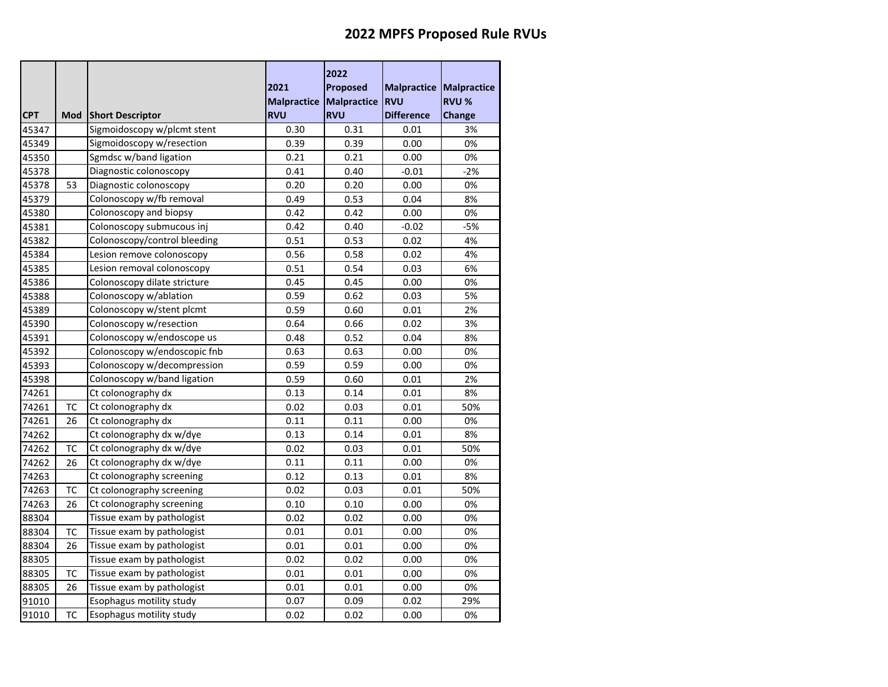|            |           |                              | 2021<br>Malpractice Malpractice | 2022<br>Proposed | Malpractice<br><b>RVU</b> | <b>Malpractice</b><br><b>RVU %</b> |
|------------|-----------|------------------------------|---------------------------------|------------------|---------------------------|------------------------------------|
| <b>CPT</b> | Mod       | <b>Short Descriptor</b>      | <b>RVU</b>                      | <b>RVU</b>       | <b>Difference</b>         | Change                             |
| 45347      |           | Sigmoidoscopy w/plcmt stent  | 0.30                            | 0.31             | 0.01                      | 3%                                 |
| 45349      |           | Sigmoidoscopy w/resection    | 0.39                            | 0.39             | 0.00                      | 0%                                 |
| 45350      |           | Sgmdsc w/band ligation       | 0.21                            | 0.21             | 0.00                      | 0%                                 |
| 45378      |           | Diagnostic colonoscopy       | 0.41                            | 0.40             | $-0.01$                   | $-2%$                              |
| 45378      | 53        | Diagnostic colonoscopy       | 0.20                            | 0.20             | 0.00                      | 0%                                 |
| 45379      |           | Colonoscopy w/fb removal     | 0.49                            | 0.53             | 0.04                      | 8%                                 |
| 45380      |           | Colonoscopy and biopsy       | 0.42                            | 0.42             | 0.00                      | 0%                                 |
| 45381      |           | Colonoscopy submucous inj    | 0.42                            | 0.40             | $-0.02$                   | $-5%$                              |
| 45382      |           | Colonoscopy/control bleeding | 0.51                            | 0.53             | 0.02                      | 4%                                 |
| 45384      |           | Lesion remove colonoscopy    | 0.56                            | 0.58             | 0.02                      | 4%                                 |
| 45385      |           | Lesion removal colonoscopy   | 0.51                            | 0.54             | 0.03                      | 6%                                 |
| 45386      |           | Colonoscopy dilate stricture | 0.45                            | 0.45             | 0.00                      | 0%                                 |
| 45388      |           | Colonoscopy w/ablation       | 0.59                            | 0.62             | 0.03                      | 5%                                 |
| 45389      |           | Colonoscopy w/stent plcmt    | 0.59                            | 0.60             | 0.01                      | 2%                                 |
| 45390      |           | Colonoscopy w/resection      | 0.64                            | 0.66             | 0.02                      | 3%                                 |
| 45391      |           | Colonoscopy w/endoscope us   | 0.48                            | 0.52             | 0.04                      | 8%                                 |
| 45392      |           | Colonoscopy w/endoscopic fnb | 0.63                            | 0.63             | 0.00                      | 0%                                 |
| 45393      |           | Colonoscopy w/decompression  | 0.59                            | 0.59             | 0.00                      | 0%                                 |
| 45398      |           | Colonoscopy w/band ligation  | 0.59                            | 0.60             | 0.01                      | 2%                                 |
| 74261      |           | Ct colonography dx           | 0.13                            | 0.14             | 0.01                      | 8%                                 |
| 74261      | TC        | Ct colonography dx           | 0.02                            | 0.03             | 0.01                      | 50%                                |
| 74261      | 26        | Ct colonography dx           | 0.11                            | 0.11             | 0.00                      | 0%                                 |
| 74262      |           | Ct colonography dx w/dye     | 0.13                            | 0.14             | 0.01                      | 8%                                 |
| 74262      | <b>TC</b> | Ct colonography dx w/dye     | 0.02                            | 0.03             | 0.01                      | 50%                                |
| 74262      | 26        | Ct colonography dx w/dye     | 0.11                            | 0.11             | 0.00                      | 0%                                 |
| 74263      |           | Ct colonography screening    | 0.12                            | 0.13             | 0.01                      | 8%                                 |
| 74263      | ТC        | Ct colonography screening    | 0.02                            | 0.03             | 0.01                      | 50%                                |
| 74263      | 26        | Ct colonography screening    | 0.10                            | 0.10             | 0.00                      | 0%                                 |
| 88304      |           | Tissue exam by pathologist   | 0.02                            | 0.02             | 0.00                      | 0%                                 |
| 88304      | <b>TC</b> | Tissue exam by pathologist   | 0.01                            | 0.01             | 0.00                      | 0%                                 |
| 88304      | 26        | Tissue exam by pathologist   | 0.01                            | 0.01             | 0.00                      | 0%                                 |
| 88305      |           | Tissue exam by pathologist   | 0.02                            | 0.02             | 0.00                      | 0%                                 |
| 88305      | ТC        | Tissue exam by pathologist   | 0.01                            | 0.01             | 0.00                      | 0%                                 |
| 88305      | 26        | Tissue exam by pathologist   | 0.01                            | 0.01             | 0.00                      | 0%                                 |
| 91010      |           | Esophagus motility study     | 0.07                            | 0.09             | 0.02                      | 29%                                |
| 91010      | ТC        | Esophagus motility study     | 0.02                            | 0.02             | 0.00                      | 0%                                 |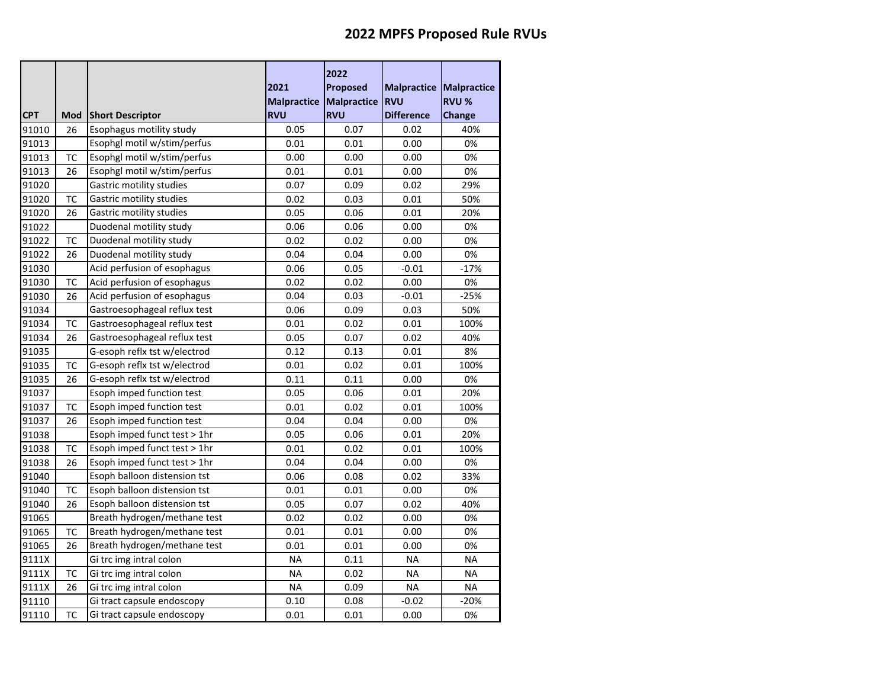|            |           |                                 | 2021                             | 2022<br>Proposed          | <b>Malpractice</b>              | <b>Malpractice</b> |
|------------|-----------|---------------------------------|----------------------------------|---------------------------|---------------------------------|--------------------|
| <b>CPT</b> |           |                                 | <b>Malpractice</b><br><b>RVU</b> | Malpractice<br><b>RVU</b> | <b>RVU</b><br><b>Difference</b> | <b>RVU %</b>       |
|            | Mod       | <b>Short Descriptor</b>         |                                  |                           |                                 | Change             |
| 91010      | 26        | Esophagus motility study        | 0.05                             | 0.07                      | 0.02                            | 40%                |
| 91013      |           | Esophgl motil w/stim/perfus     | 0.01                             | 0.01                      | 0.00                            | 0%                 |
| 91013      | ТC        | Esophgl motil w/stim/perfus     | 0.00                             | 0.00                      | 0.00                            | 0%                 |
| 91013      | 26        | Esophgl motil w/stim/perfus     | 0.01                             | 0.01                      | 0.00                            | 0%                 |
| 91020      |           | Gastric motility studies        | 0.07                             | 0.09                      | 0.02                            | 29%                |
| 91020      | TC        | Gastric motility studies        | 0.02                             | 0.03                      | 0.01                            | 50%                |
| 91020      | 26        | <b>Gastric motility studies</b> | 0.05                             | 0.06                      | 0.01                            | 20%                |
| 91022      |           | Duodenal motility study         | 0.06                             | 0.06                      | 0.00                            | 0%                 |
| 91022      | ТC        | Duodenal motility study         | 0.02                             | 0.02                      | 0.00                            | 0%                 |
| 91022      | 26        | Duodenal motility study         | 0.04                             | 0.04                      | 0.00                            | 0%                 |
| 91030      |           | Acid perfusion of esophagus     | 0.06                             | 0.05                      | $-0.01$                         | $-17%$             |
| 91030      | <b>TC</b> | Acid perfusion of esophagus     | 0.02                             | 0.02                      | 0.00                            | 0%                 |
| 91030      | 26        | Acid perfusion of esophagus     | 0.04                             | 0.03                      | $-0.01$                         | $-25%$             |
| 91034      |           | Gastroesophageal reflux test    | 0.06                             | 0.09                      | 0.03                            | 50%                |
| 91034      | ТC        | Gastroesophageal reflux test    | 0.01                             | 0.02                      | 0.01                            | 100%               |
| 91034      | 26        | Gastroesophageal reflux test    | 0.05                             | 0.07                      | 0.02                            | 40%                |
| 91035      |           | G-esoph reflx tst w/electrod    | 0.12                             | 0.13                      | 0.01                            | 8%                 |
| 91035      | <b>TC</b> | G-esoph reflx tst w/electrod    | 0.01                             | 0.02                      | 0.01                            | 100%               |
| 91035      | 26        | G-esoph reflx tst w/electrod    | 0.11                             | 0.11                      | 0.00                            | 0%                 |
| 91037      |           | Esoph imped function test       | 0.05                             | 0.06                      | 0.01                            | 20%                |
| 91037      | ТC        | Esoph imped function test       | 0.01                             | 0.02                      | 0.01                            | 100%               |
| 91037      | 26        | Esoph imped function test       | 0.04                             | 0.04                      | 0.00                            | 0%                 |
| 91038      |           | Esoph imped funct test > 1hr    | 0.05                             | 0.06                      | 0.01                            | 20%                |
| 91038      | <b>TC</b> | Esoph imped funct test > 1hr    | 0.01                             | 0.02                      | 0.01                            | 100%               |
| 91038      | 26        | Esoph imped funct test > 1hr    | 0.04                             | 0.04                      | 0.00                            | 0%                 |
| 91040      |           | Esoph balloon distension tst    | 0.06                             | 0.08                      | 0.02                            | 33%                |
| 91040      | тс        | Esoph balloon distension tst    | 0.01                             | 0.01                      | 0.00                            | 0%                 |
| 91040      | 26        | Esoph balloon distension tst    | 0.05                             | 0.07                      | 0.02                            | 40%                |
| 91065      |           | Breath hydrogen/methane test    | 0.02                             | 0.02                      | 0.00                            | 0%                 |
| 91065      | <b>TC</b> | Breath hydrogen/methane test    | 0.01                             | 0.01                      | 0.00                            | 0%                 |
| 91065      | 26        | Breath hydrogen/methane test    | 0.01                             | 0.01                      | 0.00                            | 0%                 |
| 9111X      |           | Gi trc img intral colon         | <b>NA</b>                        | 0.11                      | <b>NA</b>                       | <b>NA</b>          |
| 9111X      | тс        | Gi trc img intral colon         | <b>NA</b>                        | 0.02                      | <b>NA</b>                       | <b>NA</b>          |
| 9111X      | 26        | Gi trc img intral colon         | <b>NA</b>                        | 0.09                      | <b>NA</b>                       | <b>NA</b>          |
| 91110      |           | Gi tract capsule endoscopy      | 0.10                             | 0.08                      | -0.02                           | $-20%$             |
| 91110      | ТC        | Gi tract capsule endoscopy      | 0.01                             | 0.01                      | 0.00                            | 0%                 |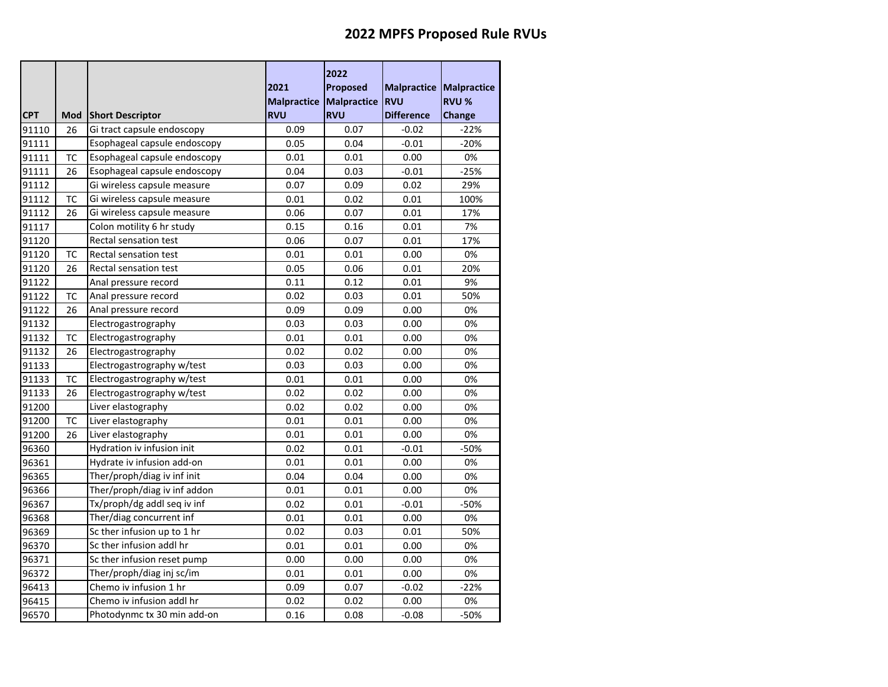|            |           |                              | 2021                    | 2022<br>Proposed | <b>Malpractice</b> | <b>Malpractice</b> |
|------------|-----------|------------------------------|-------------------------|------------------|--------------------|--------------------|
|            |           |                              | Malpractice Malpractice |                  | <b>RVU</b>         | <b>RVU %</b>       |
| <b>CPT</b> | Mod       | <b>Short Descriptor</b>      | <b>RVU</b>              | <b>RVU</b>       | <b>Difference</b>  | Change             |
| 91110      | 26        | Gi tract capsule endoscopy   | 0.09                    | 0.07             | $-0.02$            | $-22%$             |
| 91111      |           | Esophageal capsule endoscopy | 0.05                    | 0.04             | $-0.01$            | $-20%$             |
| 91111      | <b>TC</b> | Esophageal capsule endoscopy | 0.01                    | 0.01             | 0.00               | 0%                 |
| 91111      | 26        | Esophageal capsule endoscopy | 0.04                    | 0.03             | $-0.01$            | $-25%$             |
| 91112      |           | Gi wireless capsule measure  | 0.07                    | 0.09             | 0.02               | 29%                |
| 91112      | ТC        | Gi wireless capsule measure  | 0.01                    | 0.02             | 0.01               | 100%               |
| 91112      | 26        | Gi wireless capsule measure  | 0.06                    | 0.07             | 0.01               | 17%                |
| 91117      |           | Colon motility 6 hr study    | 0.15                    | 0.16             | 0.01               | 7%                 |
| 91120      |           | Rectal sensation test        | 0.06                    | 0.07             | 0.01               | 17%                |
| 91120      | TC        | Rectal sensation test        | 0.01                    | 0.01             | 0.00               | 0%                 |
| 91120      | 26        | Rectal sensation test        | 0.05                    | 0.06             | 0.01               | 20%                |
| 91122      |           | Anal pressure record         | 0.11                    | 0.12             | 0.01               | 9%                 |
| 91122      | тс        | Anal pressure record         | 0.02                    | 0.03             | 0.01               | 50%                |
| 91122      | 26        | Anal pressure record         | 0.09                    | 0.09             | 0.00               | 0%                 |
| 91132      |           | Electrogastrography          | 0.03                    | 0.03             | 0.00               | 0%                 |
| 91132      | TC        | Electrogastrography          | 0.01                    | 0.01             | 0.00               | 0%                 |
| 91132      | 26        | Electrogastrography          | 0.02                    | 0.02             | 0.00               | 0%                 |
| 91133      |           | Electrogastrography w/test   | 0.03                    | 0.03             | 0.00               | 0%                 |
| 91133      | TC        | Electrogastrography w/test   | 0.01                    | 0.01             | 0.00               | 0%                 |
| 91133      | 26        | Electrogastrography w/test   | 0.02                    | 0.02             | 0.00               | 0%                 |
| 91200      |           | Liver elastography           | 0.02                    | 0.02             | 0.00               | 0%                 |
| 91200      | <b>TC</b> | Liver elastography           | 0.01                    | 0.01             | 0.00               | 0%                 |
| 91200      | 26        | Liver elastography           | 0.01                    | 0.01             | 0.00               | 0%                 |
| 96360      |           | Hydration iv infusion init   | 0.02                    | 0.01             | $-0.01$            | $-50%$             |
| 96361      |           | Hydrate iv infusion add-on   | 0.01                    | 0.01             | 0.00               | 0%                 |
| 96365      |           | Ther/proph/diag iv inf init  | 0.04                    | 0.04             | 0.00               | 0%                 |
| 96366      |           | Ther/proph/diag iv inf addon | 0.01                    | 0.01             | 0.00               | 0%                 |
| 96367      |           | Tx/proph/dg addl seq iv inf  | 0.02                    | 0.01             | $-0.01$            | -50%               |
| 96368      |           | Ther/diag concurrent inf     | 0.01                    | 0.01             | 0.00               | 0%                 |
| 96369      |           | Sc ther infusion up to 1 hr  | 0.02                    | 0.03             | 0.01               | 50%                |
| 96370      |           | Sc ther infusion addl hr     | 0.01                    | 0.01             | 0.00               | 0%                 |
| 96371      |           | Sc ther infusion reset pump  | 0.00                    | 0.00             | 0.00               | 0%                 |
| 96372      |           | Ther/proph/diag inj sc/im    | 0.01                    | 0.01             | 0.00               | 0%                 |
| 96413      |           | Chemo iv infusion 1 hr       | 0.09                    | 0.07             | $-0.02$            | $-22%$             |
| 96415      |           | Chemo iv infusion addl hr    | 0.02                    | 0.02             | 0.00               | 0%                 |
| 96570      |           | Photodynmc tx 30 min add-on  | 0.16                    | 0.08             | $-0.08$            | -50%               |